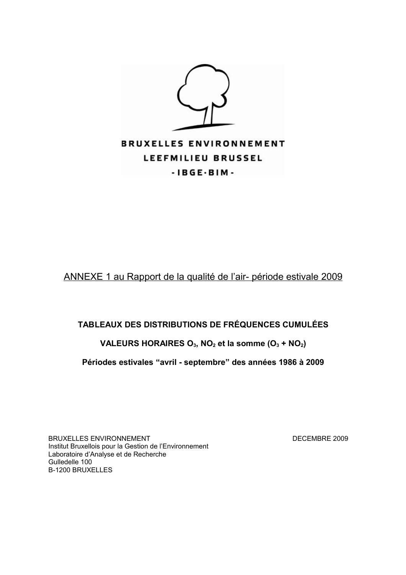

A NNEXE 1 au Rapport de la qualité de l'air- période estivale 2009

## **TABLEAUX DES DISTRIBUTIONS DE FRÉQUENCES CUMULÉES**

## **VALEURS HORAIRES O3, NO2 et la somme (O3 + NO2)**

### **Périodes estivales "avril - septembre" des années 1986 à 2009**

BRUXELLES ENVIRONNEMENT DECEMBRE 2009 Institut Bruxellois pour la Gestion de l'Environnement Laboratoire d'Analyse et de Recherche Gulledelle 100 B-1200 BRUXELLES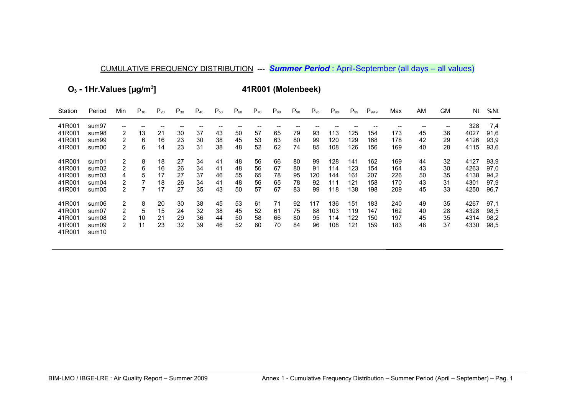O<sub>3</sub> - 1Hr. Values [µg/m<sup>3</sup>]

41R001 (Molenbeek)

| Station | Period            | Min            | $P_{10}$ | $P_{20}$ | $P_{30}$ | $P_{40}$ | $P_{50}$ | $P_{60}$ | $P_{70}$ | $P_{80}$ | $P_{90}$ | $P_{95}$ | $P_{98}$ | $P_{99}$ | $P_{99.9}$ | Max | ΑM | GM | Nt   | %Nt  |
|---------|-------------------|----------------|----------|----------|----------|----------|----------|----------|----------|----------|----------|----------|----------|----------|------------|-----|----|----|------|------|
| 41R001  | sum97             | $- -$          |          |          |          |          |          |          |          |          |          |          |          |          |            |     |    | -- | 328  | 7,4  |
| 41R001  | sum98             | 2              | 13       | 21       | 30       | 37       | 43       | 50       | 57       | 65       | 79       | 93       | 113      | 125      | 154        | 173 | 45 | 36 | 4027 | 91,6 |
| 41R001  | sum99             | 2              | 6        | 16       | 23       | 30       | 38       | 45       | 53       | 63       | 80       | 99       | 120      | 129      | 168        | 178 | 42 | 29 | 4126 | 93,9 |
| 41R001  | sum00             | 2              | 6        | 14       | 23       | 31       | 38       | 48       | 52       | 62       | 74       | 85       | 108      | 126      | 156        | 169 | 40 | 28 | 4115 | 93,6 |
| 41R001  | sum01             | 2              | 8        | 18       | 27       | 34       | 41       | 48       | 56       | 66       | 80       | 99       | 128      | 141      | 162        | 169 | 44 | 32 | 4127 | 93,9 |
| 41R001  | sum02             | 2              | 6        | 16       | 26       | 34       | 41       | 48       | 56       | 67       | 80       | 91       | 114      | 123      | 154        | 164 | 43 | 30 | 4263 | 97,0 |
| 41R001  | sum03             | 4              | 5        | 17       | 27       | 37       | 46       | 55       | 65       | 78       | 95       | 120      | 144      | 161      | 207        | 226 | 50 | 35 | 4138 | 94,2 |
| 41R001  | sum04             | 2              |          | 18       | 26       | 34       | 41       | 48       | 56       | 65       | 78       | 92       | 111      | 121      | 158        | 170 | 43 | 31 | 4301 | 97,9 |
| 41R001  | sum05             | 2              |          | 17       | 27       | 35       | 43       | 50       | 57       | 67       | 83       | 99       | 118      | 138      | 198        | 209 | 45 | 33 | 4250 | 96,7 |
| 41R001  | sum06             | 2              | 8        | 20       | 30       | 38       | 45       | 53       | 61       | 71       | 92       | 117      | 136      | 151      | 183        | 240 | 49 | 35 | 4267 | 97,1 |
| 41R001  | sum07             | 2              | 5        | 15       | 24       | 32       | 38       | 45       | 52       | 61       | 75       | 88       | 103      | 119      | 147        | 162 | 40 | 28 | 4328 | 98,5 |
| 41R001  | sum08             | 2              | 10       | 21       | 29       | 36       | 44       | 50       | 58       | 66       | 80       | 95       | 114      | 122      | 150        | 197 | 45 | 35 | 4314 | 98,2 |
| 41R001  | sum09             | $\overline{2}$ | 11       | 23       | 32       | 39       | 46       | 52       | 60       | 70       | 84       | 96       | 108      | 121      | 159        | 183 | 48 | 37 | 4330 | 98,5 |
| 41R001  | sum <sub>10</sub> |                |          |          |          |          |          |          |          |          |          |          |          |          |            |     |    |    |      |      |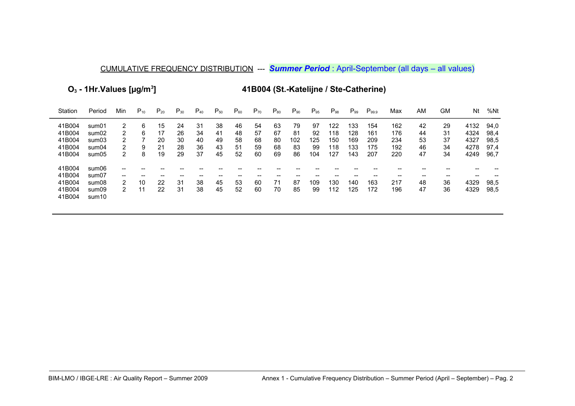**O3 - 1Hr.Values [µg/m<sup>3</sup>**

**] 41B004 (St.-Katelijne / Ste-Catherine)**

| Station          | Period                     | Min               | $P_{10}$ | $P_{20}$ | $P_{30}$ | $P_{40}$ | $P_{50}$ | $P_{60}$ | $P_{70}$ | $P_{80}$ | $P_{90}$ | $P_{95}$ | $P_{98}$ | $P_{99}$ | $P_{99.9}$ | Max | ΑM | GM | Nt   | %Nt  |
|------------------|----------------------------|-------------------|----------|----------|----------|----------|----------|----------|----------|----------|----------|----------|----------|----------|------------|-----|----|----|------|------|
| 41B004           | sum01                      | 2                 | 6        | 15       | 24       | 31       | 38       | 46       | 54       | 63       | 79       | 97       | 122      | 133      | 154        | 162 | 42 | 29 | 4132 | 94,0 |
| 41B004           | sum02                      | 2                 | 6        | 17       | 26       | 34       | 41       | 48       | 57       | 67       | 81       | 92       | 118      | 128      | 161        | 176 | 44 | 31 | 4324 | 98,4 |
| 41B004           | sum03                      | 2                 |          | 20       | 30       | 40       | 49       | 58       | 68       | 80       | 102      | 125      | 150      | 169      | 209        | 234 | 53 | 37 | 4327 | 98,5 |
| 41B004           | sum04                      | 2                 | 9        | 21       | 28       | 36       | 43       | 51       | 59       | 68       | 83       | 99       | 118      | 133      | 175        | 192 | 46 | 34 | 4278 | 97.4 |
| 41B004           | sum05                      | 2                 | 8        | 19       | 29       | 37       | 45       | 52       | 60       | 69       | 86       | 104      | 127      | 143      | 207        | 220 | 47 | 34 | 4249 | 96,7 |
| 41B004           | sum06                      | --                |          |          |          |          |          |          |          |          |          |          |          |          |            |     |    |    |      |      |
| 41B004           | sum07                      | $\hspace{0.05cm}$ | --       |          |          |          | --       |          |          |          |          |          |          |          |            | --  | -- | -- | --   |      |
| 41B004           | sum08                      | 2                 | 10       | 22       | 31       | 38       | 45       | 53       | 60       | 71       | 87       | 109      | 130      | 140      | 163        | 217 | 48 | 36 | 4329 | 98,5 |
| 41B004<br>41B004 | sum09<br>sum <sub>10</sub> | 2                 | 11       | 22       | 31       | 38       | 45       | 52       | 60       | 70       | 85       | 99       | 112      | 125      | 172        | 196 | 47 | 36 | 4329 | 98,5 |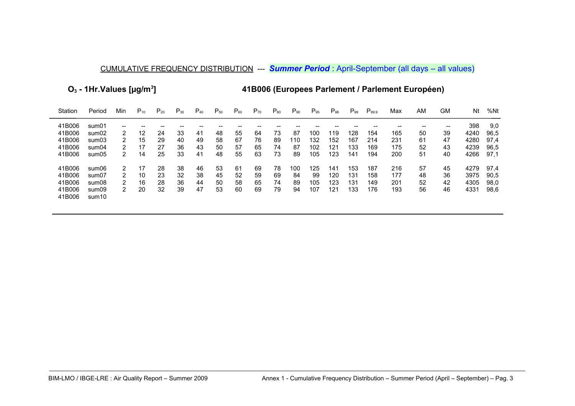**O3 - 1Hr.Values [µg/m<sup>3</sup>**

**] 41B006 (Europees Parlement / Parlement Européen)**

| Station | Period            | Min | $P_{10}$ | $P_{20}$ | $P_{30}$ | $\mathsf{P}_{\mathsf{40}}$ | $P_{50}$ | $P_{60}$ | $P_{70}$ | $P_{80}$ | $P_{90}$ | $P_{95}$ | $P_{98}$ | $P_{99}$ | $P_{99.9}$ | Max | ΑM | GМ    | Νt   | %Nt  |
|---------|-------------------|-----|----------|----------|----------|----------------------------|----------|----------|----------|----------|----------|----------|----------|----------|------------|-----|----|-------|------|------|
| 41B006  | sum01             | --  |          |          |          |                            |          |          |          |          |          |          |          |          |            |     |    | $- -$ | 398  | 9,0  |
| 41B006  | sum02             | 2   | 12       | 24       | 33       | 41                         | 48       | 55       | 64       | 73       | 87       | 100      | 119      | 128      | 154        | 165 | 50 | 39    | 4240 | 96,5 |
| 41B006  | sum03             | 2   | 15       | 29       | 40       | 49                         | 58       | 67       | 76       | 89       | 110      | 132      | 152      | 167      | 214        | 231 | 61 | 47    | 4280 | 97.4 |
| 41B006  | sum04             | 2   | 17       | 27       | 36       | 43                         | 50       | 57       | 65       | 74       | 87       | 102      | 121      | 133      | 169        | 175 | 52 | 43    | 4239 | 96,5 |
| 41B006  | sum05             | 2   | 14       | 25       | 33       | 41                         | 48       | 55       | 63       | 73       | 89       | 105      | 123      | 141      | 194        | 200 | 51 | 40    | 4266 | 97,1 |
| 41B006  | sum06             | 2   | 17       | 28       | 38       | 46                         | 53       | 61       | 69       | 78       | 100      | 125      | 141      | 153      | 187        | 216 | 57 | 45    | 4279 | 97.4 |
| 41B006  | sum07             | 2   | 10       | 23       | 32       | 38                         | 45       | 52       | 59       | 69       | 84       | 99       | 120      | 131      | 158        | 177 | 48 | 36    | 3975 | 90.5 |
| 41B006  | sum08             | 2   | 16       | 28       | 36       | 44                         | 50       | 58       | 65       | 74       | 89       | 105      | 123      | 131      | 149        | 201 | 52 | 42    | 4305 | 98,0 |
| 41B006  | sum09             | 2   | 20       | 32       | 39       | 47                         | 53       | 60       | 69       | 79       | 94       | 107      | 121      | 133      | 176        | 193 | 56 | 46    | 4331 | 98,6 |
| 41B006  | sum <sub>10</sub> |     |          |          |          |                            |          |          |          |          |          |          |          |          |            |     |    |       |      |      |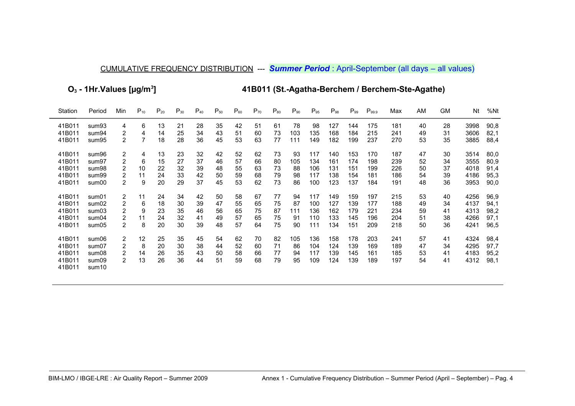**O3 - 1Hr.Values [µg/m<sup>3</sup>**

**] 41B011 (St.-Agatha-Berchem / Berchem-Ste-Agathe)**

| Station | Period            | Min            | $P_{10}$ | $P_{20}$ | $P_{30}$ | $P_{40}$ | $P_{50}$ | $P_{60}$ | $P_{70}$ | $P_{80}$ | $P_{90}$ | $P_{95}$ | $P_{98}$ | $P_{99}$ | $P_{99.9}$ | Max | AM | GM | Nt   | %Nt  |
|---------|-------------------|----------------|----------|----------|----------|----------|----------|----------|----------|----------|----------|----------|----------|----------|------------|-----|----|----|------|------|
| 41B011  | sum93             | 4              | 6        | 13       | 21       | 28       | 35       | 42       | 51       | 61       | 78       | 98       | 127      | 144      | 175        | 181 | 40 | 28 | 3998 | 90,8 |
| 41B011  | sum94             | 2              | 4        | 14       | 25       | 34       | 43       | 51       | 60       | 73       | 103      | 135      | 168      | 184      | 215        | 241 | 49 | 31 | 3606 | 82,1 |
| 41B011  | sum95             | 2              |          | 18       | 28       | 36       | 45       | 53       | 63       | 77       | 111      | 149      | 182      | 199      | 237        | 270 | 53 | 35 | 3885 | 88,4 |
| 41B011  | sum96             | 2              | 4        | 13       | 23       | 32       | 42       | 52       | 62       | 73       | 93       | 117      | 140      | 153      | 170        | 187 | 47 | 30 | 3514 | 80,0 |
| 41B011  | sum97             | 2              | 6        | 15       | 27       | 37       | 46       | 57       | 66       | 80       | 105      | 134      | 161      | 174      | 198        | 239 | 52 | 34 | 3555 | 80,9 |
| 41B011  | sum98             | 2              | 10       | 22       | 32       | 39       | 48       | 55       | 63       | 73       | 88       | 106      | 131      | 151      | 199        | 226 | 50 | 37 | 4018 | 91,4 |
| 41B011  | sum99             | 2              | 11       | 24       | 33       | 42       | 50       | 59       | 68       | 79       | 98       | 117      | 138      | 154      | 181        | 186 | 54 | 39 | 4186 | 95,3 |
| 41B011  | sum00             | 2              | 9        | 20       | 29       | 37       | 45       | 53       | 62       | 73       | 86       | 100      | 123      | 137      | 184        | 191 | 48 | 36 | 3953 | 90,0 |
| 41B011  | sum01             | 2              | 11       | 24       | 34       | 42       | 50       | 58       | 67       | 77       | 94       | 117      | 149      | 159      | 197        | 215 | 53 | 40 | 4256 | 96,9 |
| 41B011  | sum02             | 2              | 6        | 18       | 30       | 39       | 47       | 55       | 65       | 75       | 87       | 100      | 127      | 139      | 177        | 188 | 49 | 34 | 4137 | 94,1 |
| 41B011  | sum03             | 2              | 9        | 23       | 35       | 46       | 56       | 65       | 75       | 87       | 111      | 136      | 162      | 179      | 221        | 234 | 59 | 41 | 4313 | 98,2 |
| 41B011  | sum04             | 2              | 11       | 24       | 32       | 41       | 49       | 57       | 65       | 75       | 91       | 110      | 133      | 145      | 196        | 204 | 51 | 38 | 4266 | 97,1 |
| 41B011  | sum05             | 2              | 8        | 20       | 30       | 39       | 48       | 57       | 64       | 75       | 90       | 111      | 134      | 151      | 209        | 218 | 50 | 36 | 4241 | 96,5 |
| 41B011  | sum06             | 2              | 12       | 25       | 35       | 45       | 54       | 62       | 70       | 82       | 105      | 136      | 158      | 178      | 203        | 241 | 57 | 41 | 4324 | 98,4 |
| 41B011  | sum07             | 2              | 8        | 20       | 30       | 38       | 44       | 52       | 60       | 71       | 86       | 104      | 124      | 139      | 169        | 189 | 47 | 34 | 4295 | 97,7 |
| 41B011  | sum08             | 2              | 14       | 26       | 35       | 43       | 50       | 58       | 66       | 77       | 94       | 117      | 139      | 145      | 161        | 185 | 53 | 41 | 4183 | 95,2 |
| 41B011  | sum09             | $\overline{2}$ | 13       | 26       | 36       | 44       | 51       | 59       | 68       | 79       | 95       | 109      | 124      | 139      | 189        | 197 | 54 | 41 | 4312 | 98,1 |
| 41B011  | sum <sub>10</sub> |                |          |          |          |          |          |          |          |          |          |          |          |          |            |     |    |    |      |      |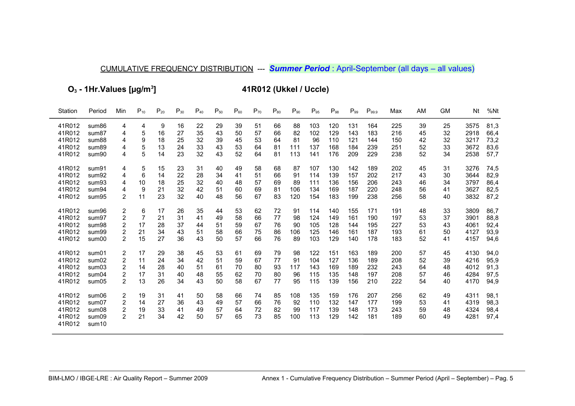O<sub>3</sub> - 1Hr. Values [µg/m<sup>3</sup>]

41R012 (Ukkel / Uccle)

| Station | Period            | Min                     | $P_{10}$ | $P_{20}$ | $P_{30}$ | $P_{40}$ | $P_{50}$ | $P_{60}$ | $P_{70}$ | $P_{80}$ | $P_{90}$ | $P_{95}$ | $P_{98}$ | $P_{99}$ | $P_{99.9}$ | Max | AM | <b>GM</b> | Nt   | %Nt  |
|---------|-------------------|-------------------------|----------|----------|----------|----------|----------|----------|----------|----------|----------|----------|----------|----------|------------|-----|----|-----------|------|------|
| 41R012  | sum86             | 4                       | 4        | 9        | 16       | 22       | 29       | 39       | 51       | 66       | 88       | 103      | 120      | 131      | 164        | 225 | 39 | 25        | 3575 | 81,3 |
| 41R012  | sum87             | 4                       | 5        | 16       | 27       | 35       | 43       | 50       | 57       | 66       | 82       | 102      | 129      | 143      | 183        | 216 | 45 | 32        | 2918 | 66,4 |
| 41R012  | sum88             | 4                       | 9        | 18       | 25       | 32       | 39       | 45       | 53       | 64       | 81       | 96       | 110      | 121      | 144        | 150 | 42 | 32        | 3217 | 73,2 |
| 41R012  | sum89             | 4                       | 5        | 13       | 24       | 33       | 43       | 53       | 64       | 81       | 111      | 137      | 168      | 184      | 239        | 251 | 52 | 33        | 3672 | 83,6 |
| 41R012  | sum90             | 4                       | 5        | 14       | 23       | 32       | 43       | 52       | 64       | 81       | 113      | 141      | 176      | 209      | 229        | 238 | 52 | 34        | 2538 | 57,7 |
| 41R012  | sum91             | 4                       | 5        | 15       | 23       | 31       | 40       | 49       | 58       | 68       | 87       | 107      | 130      | 142      | 189        | 202 | 45 | 31        | 3276 | 74,5 |
| 41R012  | sum92             | 4                       | 6        | 14       | 22       | 28       | 34       | 41       | 51       | 66       | 91       | 114      | 139      | 157      | 202        | 217 | 43 | 30        | 3644 | 82,9 |
| 41R012  | sum93             | 4                       | 10       | 18       | 25       | 32       | 40       | 48       | 57       | 69       | 89       | 111      | 136      | 156      | 206        | 243 | 46 | 34        | 3797 | 86,4 |
| 41R012  | sum94             | 4                       | 9        | 21       | 32       | 42       | 51       | 60       | 69       | 81       | 106      | 134      | 169      | 187      | 220        | 248 | 56 | 41        | 3627 | 82,5 |
| 41R012  | sum95             | 2                       | 11       | 23       | 32       | 40       | 48       | 56       | 67       | 83       | 120      | 154      | 183      | 199      | 238        | 256 | 58 | 40        | 3832 | 87,2 |
| 41R012  | sum96             | $\overline{\mathbf{c}}$ | 6        | 17       | 26       | 35       | 44       | 53       | 62       | 72       | 91       | 114      | 140      | 155      | 171        | 191 | 48 | 33        | 3809 | 86,7 |
| 41R012  | sum97             | 2                       |          | 21       | 31       | 41       | 49       | 58       | 66       | 77       | 98       | 124      | 149      | 161      | 190        | 197 | 53 | 37        | 3901 | 88,8 |
| 41R012  | sum98             | 2                       | 17       | 28       | 37       | 44       | 51       | 59       | 67       | 76       | 90       | 105      | 128      | 144      | 195        | 227 | 53 | 43        | 4061 | 92,4 |
| 41R012  | sum99             | 2                       | 21       | 34       | 43       | 51       | 58       | 66       | 75       | 86       | 106      | 125      | 146      | 161      | 187        | 193 | 61 | 50        | 4127 | 93,9 |
| 41R012  | sum00             | 2                       | 15       | 27       | 36       | 43       | 50       | 57       | 66       | 76       | 89       | 103      | 129      | 140      | 178        | 183 | 52 | 41        | 4157 | 94,6 |
| 41R012  | sum01             | 2                       | 17       | 29       | 38       | 45       | 53       | 61       | 69       | 79       | 98       | 122      | 151      | 163      | 189        | 200 | 57 | 45        | 4130 | 94,0 |
| 41R012  | sum02             | 2                       | 11       | 24       | 34       | 42       | 51       | 59       | 67       | 77       | 91       | 104      | 127      | 136      | 189        | 208 | 52 | 39        | 4216 | 95,9 |
| 41R012  | sum03             | 2                       | 14       | 28       | 40       | 51       | 61       | 70       | 80       | 93       | 117      | 143      | 169      | 189      | 232        | 243 | 64 | 48        | 4012 | 91,3 |
| 41R012  | sum04             | 2                       | 17       | 31       | 40       | 48       | 55       | 62       | 70       | 80       | 96       | 115      | 135      | 148      | 197        | 208 | 57 | 46        | 4284 | 97,5 |
| 41R012  | sum05             | 2                       | 13       | 26       | 34       | 43       | 50       | 58       | 67       | 77       | 95       | 115      | 139      | 156      | 210        | 222 | 54 | 40        | 4170 | 94,9 |
| 41R012  | sum06             | 2                       | 19       | 31       | 41       | 50       | 58       | 66       | 74       | 85       | 108      | 135      | 159      | 176      | 207        | 256 | 62 | 49        | 4311 | 98,1 |
| 41R012  | sum07             | 2                       | 14       | 27       | 36       | 43       | 49       | 57       | 66       | 76       | 92       | 110      | 132      | 147      | 177        | 199 | 53 | 41        | 4319 | 98,3 |
| 41R012  | sum08             | 2                       | 19       | 33       | 41       | 49       | 57       | 64       | 72       | 82       | 99       | 117      | 139      | 148      | 173        | 243 | 59 | 48        | 4324 | 98,4 |
| 41R012  | sum09             | $\overline{2}$          | 21       | 34       | 42       | 50       | 57       | 65       | 73       | 85       | 100      | 113      | 129      | 142      | 181        | 189 | 60 | 49        | 4281 | 97,4 |
| 41R012  | sum <sub>10</sub> |                         |          |          |          |          |          |          |          |          |          |          |          |          |            |     |    |           |      |      |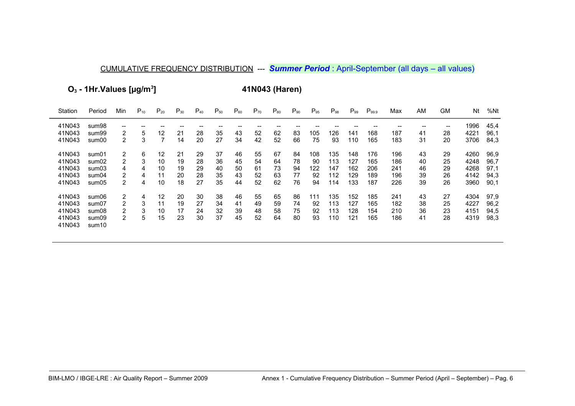**O3 - 1Hr.Values [µg/m<sup>3</sup>**

**] 41N043 (Haren)**

| Station | Period            | Min               | $P_{10}$ | $P_{20}$ | $P_{30}$ | $P_{40}$ | $P_{50}$ | $P_{60}$ | $P_{70}$ | $P_{80}$ | $P_{90}$ | $P_{95}$ | $P_{98}$ | $P_{99}$ | $P_{99.9}$ | Max | AM | <b>GM</b> | Nt   | %Nt  |
|---------|-------------------|-------------------|----------|----------|----------|----------|----------|----------|----------|----------|----------|----------|----------|----------|------------|-----|----|-----------|------|------|
| 41N043  | sum98             | $\qquad \qquad -$ |          |          |          |          |          |          |          |          |          |          |          |          |            |     |    | --        | 1996 | 45,4 |
| 41N043  | sum99             | 2                 | 5        | 12       | 21       | 28       | 35       | 43       | 52       | 62       | 83       | 105      | 126      | 141      | 168        | 187 | 41 | 28        | 4221 | 96,1 |
| 41N043  | sum00             | 2                 | 3        |          | 14       | 20       | 27       | 34       | 42       | 52       | 66       | 75       | 93       | 110      | 165        | 183 | 31 | 20        | 3706 | 84,3 |
| 41N043  | sum01             | 2                 | 6        | 12       | 21       | 29       | 37       | 46       | 55       | 67       | 84       | 108      | 135      | 148      | 176        | 196 | 43 | 29        | 4260 | 96,9 |
| 41N043  | sum02             | 2                 | 3        | 10       | 19       | 28       | 36       | 45       | 54       | 64       | 78       | 90       | 113      | 127      | 165        | 186 | 40 | 25        | 4248 | 96.7 |
| 41N043  | sum03             | 4                 | 4        | 10       | 19       | 29       | 40       | 50       | 61       | 73       | 94       | 122      | 147      | 162      | 206        | 241 | 46 | 29        | 4268 | 97,1 |
| 41N043  | sum04             | 2                 | 4        | 11       | 20       | 28       | 35       | 43       | 52       | 63       | 77       | 92       | 112      | 129      | 189        | 196 | 39 | 26        | 4142 | 94,3 |
| 41N043  | sum05             | 2                 | 4        | 10       | 18       | 27       | 35       | 44       | 52       | 62       | 76       | 94       | 114      | 133      | 187        | 226 | 39 | 26        | 3960 | 90,1 |
| 41N043  | sum06             | 2                 | 4        | 12       | 20       | 30       | 38       | 46       | 55       | 65       | 86       | 111      | 135      | 152      | 185        | 241 | 43 | 27        | 4304 | 97,9 |
| 41N043  | sum07             | 2                 | 3        | 11       | 19       | 27       | 34       | 41       | 49       | 59       | 74       | 92       | 113      | 127      | 165        | 182 | 38 | 25        | 4227 | 96,2 |
| 41N043  | sum08             | 2                 | 3        | 10       | 17       | 24       | 32       | 39       | 48       | 58       | 75       | 92       | 113      | 128      | 154        | 210 | 36 | 23        | 4151 | 94,5 |
| 41N043  | sum09             | $\overline{2}$    | 5        | 15       | 23       | 30       | 37       | 45       | 52       | 64       | 80       | 93       | 110      | 121      | 165        | 186 | 41 | 28        | 4319 | 98,3 |
| 41N043  | sum <sub>10</sub> |                   |          |          |          |          |          |          |          |          |          |          |          |          |            |     |    |           |      |      |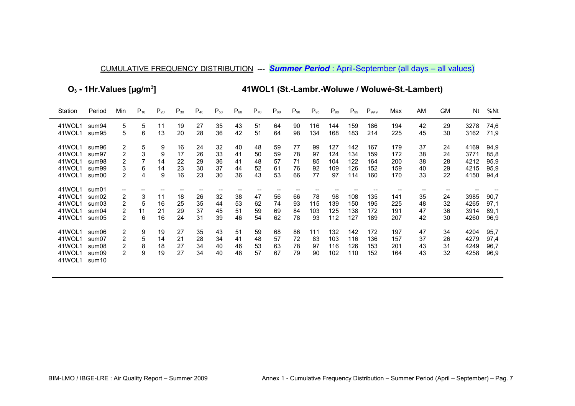**O3 - 1Hr.Values [µg/m<sup>3</sup>**

**] 41WOL1 (St.-Lambr.-Woluwe / Woluwé-St.-Lambert)**

| Station          | Period                     | Min            | $P_{10}$ | $P_{20}$ | $P_{30}$ | $P_{40}$ | $P_{50}$ | $P_{60}$ | $P_{70}$ | $P_{80}$ | $P_{90}$ | $P_{95}$ | $P_{98}$ | $P_{.99}$ | $P_{99.9}$ | Max | AM | <b>GM</b> | Nt   | %Nt  |
|------------------|----------------------------|----------------|----------|----------|----------|----------|----------|----------|----------|----------|----------|----------|----------|-----------|------------|-----|----|-----------|------|------|
| 41WOL1           | sum94                      | 5              | 5        | 11       | 19       | 27       | 35       | 43       | 51       | 64       | 90       | 116      | 144      | 159       | 186        | 194 | 42 | 29        | 3278 | 74,6 |
| 41WOL1           | sum95                      | 5              | 6        | 13       | 20       | 28       | 36       | 42       | 51       | 64       | 98       | 134      | 168      | 183       | 214        | 225 | 45 | 30        | 3162 | 71,9 |
| 41WOL1           | sum96                      | 2              | 5        | 9        | 16       | 24       | 32       | 40       | 48       | 59       | 77       | 99       | 127      | 142       | 167        | 179 | 37 | 24        | 4169 | 94,9 |
| 41WOL1           | sum97                      | 2              | 3        | 9        | 17       | 26       | 33       | 41       | 50       | 59       | 78       | 97       | 124      | 134       | 159        | 172 | 38 | 24        | 3771 | 85,8 |
| 41WOL1           | sum98                      | 2              |          | 14       | 22       | 29       | 36       | 41       | 48       | 57       | 71       | 85       | 104      | 122       | 164        | 200 | 38 | 28        | 4212 | 95,9 |
| 41WOL1           | sum99                      | 3              | 6        | 14       | 23       | 30       | 37       | 44       | 52       | 61       | 76       | 92       | 109      | 126       | 152        | 159 | 40 | 29        | 4215 | 95,9 |
| 41WOL1           | sum00                      | $\overline{2}$ | 4        | 9        | 16       | 23       | 30       | 36       | 43       | 53       | 66       | 77       | 97       | 114       | 160        | 170 | 33 | 22        | 4150 | 94,4 |
| 41WOL1           | sum01                      | --             |          |          |          |          |          |          |          |          |          |          |          |           |            |     |    |           |      |      |
| 41WOL1           | sum02                      | $\overline{2}$ | 3        | 11       | 18       | 26       | 32       | 38       | 47       | 56       | 66       | 78       | 98       | 108       | 135        | 141 | 35 | 24        | 3985 | 90,7 |
| 41WOL1           | sum03                      | 2              | 5        | 16       | 25       | 35       | 44       | 53       | 62       | 74       | 93       | 115      | 139      | 150       | 195        | 225 | 48 | 32        | 4265 | 97,1 |
| 41WOL1           | sum04                      | 2              | 11       | 21       | 29       | 37       | 45       | 51       | 59       | 69       | 84       | 103      | 125      | 138       | 172        | 191 | 47 | 36        | 3914 | 89,1 |
| 41WOL1           | sum05                      | 2              | 6        | 16       | 24       | 31       | 39       | 46       | 54       | 62       | 78       | 93       | 112      | 127       | 189        | 207 | 42 | 30        | 4260 | 96,9 |
| 41WOL1           | sum06                      | 2              | 9        | 19       | 27       | 35       | 43       | 51       | 59       | 68       | 86       | 111      | 132      | 142       | 172        | 197 | 47 | 34        | 4204 | 95,7 |
| 41WOL1           | sum07                      | 2              | 5        | 14       | 21       | 28       | 34       | 41       | 48       | 57       | 72       | 83       | 103      | 116       | 136        | 157 | 37 | 26        | 4279 | 97,4 |
| 41WOL1           | sum08                      | $\overline{2}$ | 8        | 18       | 27       | 34       | 40       | 46       | 53       | 63       | 78       | 97       | 116      | 126       | 153        | 201 | 43 | 31        | 4249 | 96,7 |
| 41WOL1<br>41WOL1 | sum09<br>sum <sub>10</sub> | $\overline{2}$ | 9        | 19       | 27       | 34       | 40       | 48       | 57       | 67       | 79       | 90       | 102      | 110       | 152        | 164 | 43 | 32        | 4258 | 96,9 |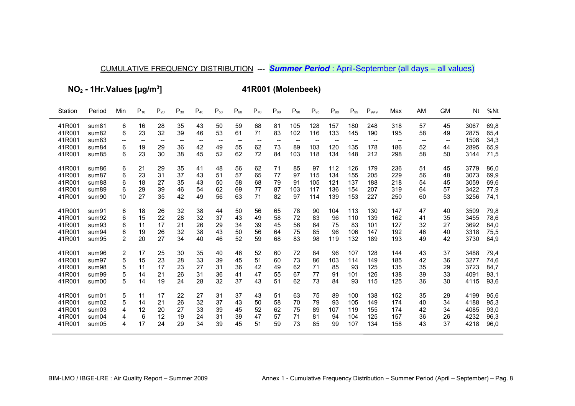**NO2 - 1Hr.Values [µg/m<sup>3</sup>**

**] 41R001 (Molenbeek)**

| Station | Period                     | Min    | $P_{10}$ | $P_{20}$                            | $P_{30}$ | $P_{40}$ | $P_{50}$ | $P_{60}$ | $P_{70}$ | $P_{80}$ | $P_{90}$ | $P_{95}$                            | $P_{98}$ | $P_{99}$          | $P_{99.9}$                          | Max                                   | AM                       | <b>GM</b> | Nt   | %Nt  |
|---------|----------------------------|--------|----------|-------------------------------------|----------|----------|----------|----------|----------|----------|----------|-------------------------------------|----------|-------------------|-------------------------------------|---------------------------------------|--------------------------|-----------|------|------|
| 41R001  | sum <sub>81</sub>          | 6      | 16       | 28                                  | 35       | 43       | 50       | 59       | 68       | 81       | 105      | 128                                 | 157      | 180               | 248                                 | 318                                   | 57                       | 45        | 3067 | 69,8 |
| 41R001  | sum <sub>82</sub>          | 6      | 23       | 32                                  | 39       | 46       | 53       | 61       | 71       | 83       | 102      | 116                                 | 133      | 145               | 190                                 | 195                                   | 58                       | 49        | 2875 | 65,4 |
| 41R001  | sum <sub>83</sub>          | --     |          | $\hspace{0.05cm}$ $\hspace{0.05cm}$ |          |          |          |          | $-$      |          |          | $\hspace{0.05cm}$ $\hspace{0.05cm}$ |          | $\hspace{0.05cm}$ | $\hspace{0.05cm}$ $\hspace{0.05cm}$ | $\hspace{0.05cm}$ – $\hspace{0.05cm}$ | $\overline{\phantom{m}}$ | $-\!$     | 1508 | 34,3 |
| 41R001  | sum <sub>84</sub>          | 6      | 19       | 29                                  | 36       | 42       | 49       | 55       | 62       | 73       | 89       | 103                                 | 120      | 135               | 178                                 | 186                                   | 52                       | 44        | 2895 | 65,9 |
| 41R001  | sum85                      | 6      | 23       | 30                                  | 38       | 45       | 52       | 62       | 72       | 84       | 103      | 118                                 | 134      | 148               | 212                                 | 298                                   | 58                       | 50        | 3144 | 71,5 |
| 41R001  | sum <sub>86</sub>          | 6      | 21       | 29                                  | 35       | 41       | 48       | 56       | 62       | 71       | 85       | 97                                  | 112      | 126               | 179                                 | 236                                   | 51                       | 45        | 3779 | 86,0 |
| 41R001  | sum <sub>87</sub>          | 6      | 23       | 31                                  | 37       | 43       | 51       | 57       | 65       | 77       | 97       | 115                                 | 134      | 155               | 205                                 | 229                                   | 56                       | 48        | 3073 | 69,9 |
| 41R001  | sum88                      | 6      | 18       | 27                                  | 35       | 43       | 50       | 58       | 68       | 79       | 91       | 105                                 | 121      | 137               | 188                                 | 218                                   | 54                       | 45        | 3059 | 69,6 |
| 41R001  | sum89                      | 6      | 29       | 39                                  | 46       | 54       | 62       | 69       | 77       | 87       | 103      | 117                                 | 136      | 154               | 207                                 | 319                                   | 64                       | 57        | 3422 | 77,9 |
| 41R001  | sum90                      | 10     | 27       | 35                                  | 42       | 49       | 56       | 63       | 71       | 82       | 97       | 114                                 | 139      | 153               | 227                                 | 250                                   | 60                       | 53        | 3256 | 74,1 |
|         |                            |        |          |                                     |          |          |          |          |          |          |          |                                     |          |                   |                                     |                                       |                          |           |      |      |
| 41R001  | sum91                      | 6      | 18       | 26                                  | 32       | 38       | 44       | 50       | 56       | 65       | 78       | 90                                  | 104      | 113               | 130                                 | 147                                   | 47                       | 40        | 3509 | 79,8 |
| 41R001  | sum92                      | 6      | 15       | 22                                  | 28       | 32       | 37       | 43       | 49       | 58       | 72       | 83                                  | 96       | 110               | 139                                 | 162                                   | 41                       | 35        | 3455 | 78,6 |
| 41R001  | sum93                      | 6      | 11       | 17                                  | 21       | 26       | 29       | 34       | 39       | 45       | 56       | 64                                  | 75       | 83                | 101                                 | 127                                   | 32                       | 27        | 3692 | 84,0 |
| 41R001  | sum94                      | 6      | 19       | 26                                  | 32       | 38       | 43       | 50       | 56       | 64       | 75       | 85                                  | 96       | 106               | 147                                 | 192                                   | 46                       | 40        | 3318 | 75,5 |
| 41R001  | sum95                      | 2      | 20       | 27                                  | 34       | 40       | 46       | 52       | 59       | 68       | 83       | 98                                  | 119      | 132               | 189                                 | 193                                   | 49                       | 42        | 3730 | 84,9 |
| 41R001  | sum96                      |        | 17       | 25                                  | 30       | 35       | 40       | 46       | 52       | 60       | 72       | 84                                  | 96       | 107               | 128                                 | 144                                   | 43                       | 37        | 3488 | 79,4 |
| 41R001  | sum97                      | 2<br>5 | 15       | 23                                  | 28       | 33       | 39       | 45       | 51       | 60       | 73       | 86                                  | 103      | 114               | 149                                 | 185                                   | 42                       | 36        | 3277 | 74,6 |
| 41R001  |                            | 5      | 11       | 17                                  | 23       | 27       | 31       | 36       | 42       | 49       | 62       | 71                                  | 85       | 93                | 125                                 | 135                                   | 35                       | 29        | 3723 | 84,7 |
| 41R001  | sum98<br>sum <sub>99</sub> | 5      | 14       | 21                                  | 26       | 31       | 36       | 41       | 47       | 55       | 67       | 77                                  | 91       | 101               | 126                                 | 138                                   | 39                       | 33        | 4091 | 93,1 |
| 41R001  | sum00                      | 5      | 14       | 19                                  | 24       | 28       | 32       | 37       | 43       | 51       | 62       | 73                                  | 84       | 93                | 115                                 | 125                                   | 36                       | 30        | 4115 | 93,6 |
|         |                            |        |          |                                     |          |          |          |          |          |          |          |                                     |          |                   |                                     |                                       |                          |           |      |      |
| 41R001  | sum01                      | 5      | 11       | 17                                  | 22       | 27       | 31       | 37       | 43       | 51       | 63       | 75                                  | 89       | 100               | 138                                 | 152                                   | 35                       | 29        | 4199 | 95,6 |
| 41R001  | sum02                      | 5      | 14       | 21                                  | 26       | 32       | 37       | 43       | 50       | 58       | 70       | 79                                  | 93       | 105               | 149                                 | 174                                   | 40                       | 34        | 4188 | 95,3 |
| 41R001  | sum03                      | 4      | 12       | 20                                  | 27       | 33       | 39       | 45       | 52       | 62       | 75       | 89                                  | 107      | 119               | 155                                 | 174                                   | 42                       | 34        | 4085 | 93,0 |
| 41R001  | sum04                      | 4      | 6        | 12                                  | 19       | 24       | 31       | 39       | 47       | 57       | 71       | 81                                  | 94       | 104               | 125                                 | 157                                   | 36                       | 26        | 4232 | 96,3 |
| 41R001  | sum05                      | 4      | 17       | 24                                  | 29       | 34       | 39       | 45       | 51       | 59       | 73       | 85                                  | 99       | 107               | 134                                 | 158                                   | 43                       | 37        | 4218 | 96,0 |
|         |                            |        |          |                                     |          |          |          |          |          |          |          |                                     |          |                   |                                     |                                       |                          |           |      |      |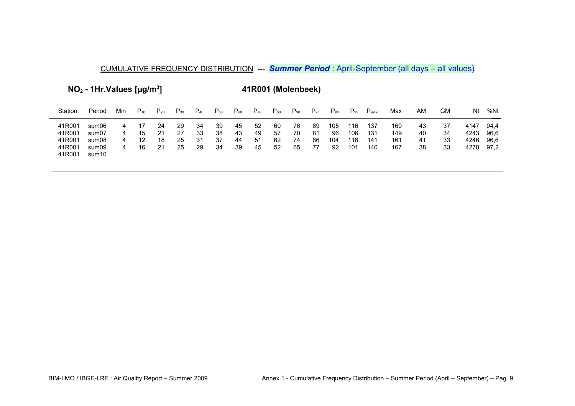**NO2 - 1Hr.Values [µg/m<sup>3</sup>**

**] 41R001 (Molenbeek)**

| Station                                        | Period                                    | Min         | $P_{10}$       | $P_{20}$             | $P_{30}$             | $P_{40}$             | $\mathsf{P}_{50}$    | $P_{60}$             | $P_{70}$              | $P_{80}$             | $P_{90}$             | $P_{95}$             | $P_{98}$               | $P_{99}$                 | $P_{99.9}$               | Max                      | ΑM                    | GM                   | Nt                           | %Nt                          |
|------------------------------------------------|-------------------------------------------|-------------|----------------|----------------------|----------------------|----------------------|----------------------|----------------------|-----------------------|----------------------|----------------------|----------------------|------------------------|--------------------------|--------------------------|--------------------------|-----------------------|----------------------|------------------------------|------------------------------|
| 41R001<br>41R001<br>41R001<br>41R001<br>41R001 | sum06<br>sum07<br>sum08<br>sum09<br>sum10 | 4<br>4<br>4 | 15<br>12<br>16 | 24<br>21<br>18<br>21 | 29<br>27<br>25<br>25 | 34<br>33<br>31<br>29 | 39<br>38<br>37<br>34 | 45<br>43<br>44<br>39 | 52<br>49<br>-51<br>45 | 60<br>57<br>62<br>52 | 76<br>70<br>74<br>65 | 89<br>81<br>86<br>77 | 105<br>96<br>104<br>92 | 116<br>106<br>116<br>101 | 137<br>131<br>141<br>140 | 160<br>149<br>161<br>167 | 43<br>40<br>-41<br>38 | 37<br>34<br>33<br>33 | 4147<br>4243<br>4246<br>4270 | 94.4<br>96.6<br>96.6<br>97.2 |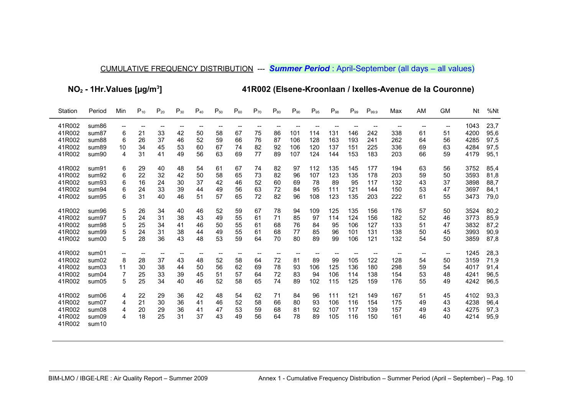$NO<sub>2</sub>$  - 1Hr. Values [µg/m<sup>3</sup>]

41R002 (Elsene-Kroonlaan / Ixelles-Avenue de la Couronne)

| Station                                                                      | Period                                                                                       | Min                                                                       | $P_{10}$                                                                        | $P_{20}$                                     | $P_{30}$                                      | $P_{40}$                                                                        | $P_{50}$                                                           | $P_{60}$                                      | $P_{70}$                                     | $P_{80}$                               | $P_{90}$                                   | $P_{95}$                                     | $P_{98}$                                     | $P_{99}$                                     | $P_{99.9}$                                                                             | Max                                                                                    | AM                                                          | <b>GM</b>                                                               | Nt                                                           | %Nt                                                          |
|------------------------------------------------------------------------------|----------------------------------------------------------------------------------------------|---------------------------------------------------------------------------|---------------------------------------------------------------------------------|----------------------------------------------|-----------------------------------------------|---------------------------------------------------------------------------------|--------------------------------------------------------------------|-----------------------------------------------|----------------------------------------------|----------------------------------------|--------------------------------------------|----------------------------------------------|----------------------------------------------|----------------------------------------------|----------------------------------------------------------------------------------------|----------------------------------------------------------------------------------------|-------------------------------------------------------------|-------------------------------------------------------------------------|--------------------------------------------------------------|--------------------------------------------------------------|
| 41R002<br>41R002<br>41R002<br>41R002<br>41R002<br>41R002<br>41R002<br>41R002 | sum86<br>sum <sub>87</sub><br>sum88<br>sum89<br>sum90<br>sum91<br>sum92<br>sum <sub>93</sub> | $\hspace{0.05cm}$ – $\hspace{0.05cm}$<br>6<br>6<br>10<br>4<br>6<br>6<br>6 | $\hspace{0.05cm}$ – $\hspace{0.05cm}$<br>21<br>26<br>34<br>31<br>29<br>22<br>16 | --<br>33<br>37<br>45<br>41<br>40<br>32<br>24 | $-$<br>42<br>46<br>53<br>49<br>48<br>42<br>30 | $\hspace{0.05cm}$ – $\hspace{0.05cm}$<br>50<br>52<br>60<br>56<br>54<br>50<br>37 | $\overline{\phantom{a}}$<br>58<br>59<br>67<br>63<br>61<br>58<br>42 | $-$<br>67<br>66<br>74<br>69<br>67<br>65<br>46 | --<br>75<br>76<br>82<br>77<br>74<br>73<br>52 | 86<br>87<br>92<br>89<br>82<br>82<br>60 | 101<br>106<br>106<br>107<br>97<br>96<br>69 | 114<br>128<br>120<br>124<br>112<br>107<br>78 | 131<br>163<br>137<br>144<br>135<br>123<br>89 | 146<br>193<br>151<br>153<br>145<br>135<br>95 | $\hspace{0.05cm}$ – $\hspace{0.05cm}$<br>242<br>241<br>225<br>183<br>177<br>178<br>117 | $\hspace{0.05cm}$ – $\hspace{0.05cm}$<br>338<br>262<br>336<br>203<br>194<br>203<br>132 | $\hspace{0.05cm}$<br>61<br>64<br>69<br>66<br>63<br>59<br>43 | $\hspace{0.05cm} \textbf{--}$<br>51<br>56<br>63<br>59<br>56<br>50<br>37 | 1043<br>4200<br>4285<br>4284<br>4179<br>3752<br>3593<br>3898 | 23,7<br>95,6<br>97,5<br>97,5<br>95,1<br>85,4<br>81,8<br>88,7 |
| 41R002<br>41R002                                                             | sum94<br>sum95                                                                               | 6<br>6                                                                    | 24<br>31                                                                        | 33<br>40                                     | 39<br>46                                      | 44<br>51                                                                        | 49<br>57                                                           | 56<br>65                                      | 63<br>72                                     | 72<br>82                               | 84<br>96                                   | 95<br>108                                    | 111<br>123                                   | 121<br>135                                   | 144<br>203                                                                             | 150<br>222                                                                             | 53<br>61                                                    | 47<br>55                                                                | 3697<br>3473                                                 | 84,1<br>79,0                                                 |
| 41R002<br>41R002<br>41R002<br>41R002<br>41R002                               | sum96<br>sum97<br>sum98<br>sum <sub>99</sub><br>sum00                                        | 5<br>5<br>5<br>5<br>5                                                     | 26<br>24<br>25<br>24<br>28                                                      | 34<br>31<br>34<br>31<br>36                   | 40<br>38<br>41<br>38<br>43                    | 46<br>43<br>46<br>44<br>48                                                      | 52<br>49<br>50<br>49<br>53                                         | 59<br>55<br>55<br>55<br>59                    | 67<br>61<br>61<br>61<br>64                   | 78<br>71<br>68<br>68<br>70             | 94<br>85<br>76<br>77<br>80                 | 109<br>97<br>84<br>85<br>89                  | 125<br>114<br>95<br>96<br>99                 | 135<br>124<br>106<br>101<br>106              | 156<br>156<br>127<br>131<br>121                                                        | 176<br>182<br>133<br>138<br>132                                                        | 57<br>52<br>51<br>50<br>54                                  | 50<br>46<br>47<br>45<br>50                                              | 3524<br>3773<br>3832<br>3993<br>3859                         | 80,2<br>85,9<br>87,2<br>90,9<br>87,8                         |
| 41R002<br>41R002<br>41R002<br>41R002<br>41R002                               | sum01<br>sum02<br>sum03<br>sum04<br>sum05                                                    | $\hspace{0.05cm}$ – $\hspace{0.05cm}$<br>8<br>11<br>5                     | 28<br>30<br>25<br>25                                                            | --<br>37<br>38<br>33<br>34                   | 43<br>44<br>39<br>40                          | 48<br>50<br>45<br>46                                                            | 52<br>56<br>51<br>52                                               | 58<br>62<br>57<br>58                          | 64<br>69<br>64<br>65                         | 72<br>78<br>72<br>74                   | 81<br>93<br>83<br>89                       | 89<br>106<br>94<br>102                       | 99<br>125<br>106<br>115                      | 105<br>136<br>114<br>125                     | 122<br>180<br>138<br>159                                                               | 128<br>298<br>154<br>176                                                               | 54<br>59<br>53<br>55                                        | 50<br>54<br>48<br>49                                                    | 1245<br>3159<br>4017<br>4241<br>4242                         | 28,3<br>71,9<br>91,4<br>96,5<br>96,5                         |
| 41R002<br>41R002<br>41R002<br>41R002<br>41R002                               | sum06<br>sum07<br>sum08<br>sum09<br>sum <sub>10</sub>                                        | 4<br>4<br>4<br>4                                                          | 22<br>21<br>20<br>18                                                            | 29<br>30<br>29<br>25                         | 36<br>36<br>36<br>31                          | 42<br>41<br>41<br>37                                                            | 48<br>46<br>47<br>43                                               | 54<br>52<br>53<br>49                          | 62<br>58<br>59<br>56                         | 71<br>66<br>68<br>64                   | 84<br>80<br>81<br>78                       | 96<br>93<br>92<br>89                         | 111<br>106<br>107<br>105                     | 121<br>116<br>117<br>116                     | 149<br>154<br>139<br>150                                                               | 167<br>175<br>157<br>161                                                               | 51<br>49<br>49<br>46                                        | 45<br>43<br>43<br>40                                                    | 4102<br>4238<br>4275<br>4214                                 | 93,3<br>96,4<br>97,3<br>95,9                                 |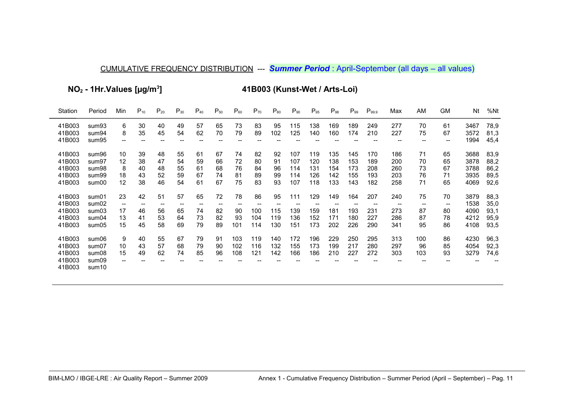NO<sub>2</sub> - 1Hr. Values [µg/m<sup>3</sup>]

41B003 (Kunst-Wet / Arts-Loi)

| Station                                        | Period                                                | Min                                              | $P_{10}$                   | $P_{20}$                                                      | $P_{30}$                                  | $P_{40}$                      | $P_{50}$                                                      | $P_{60}$                       | $P_{70}$                                                         | $P_{80}$                   | $P_{90}$                        | $P_{95}$                                                          | $P_{98}$                        | $P_{99}$                                                          | $P_{99.9}$                                                        | Max                                                       | AM                                        | GМ                                                            | Nt                                   | %Nt                                  |
|------------------------------------------------|-------------------------------------------------------|--------------------------------------------------|----------------------------|---------------------------------------------------------------|-------------------------------------------|-------------------------------|---------------------------------------------------------------|--------------------------------|------------------------------------------------------------------|----------------------------|---------------------------------|-------------------------------------------------------------------|---------------------------------|-------------------------------------------------------------------|-------------------------------------------------------------------|-----------------------------------------------------------|-------------------------------------------|---------------------------------------------------------------|--------------------------------------|--------------------------------------|
| 41B003<br>41B003<br>41B003                     | sum93<br>sum94<br>sum95                               | 6<br>8<br>÷                                      | 30<br>35                   | 40<br>45                                                      | 49<br>54                                  | 57<br>62                      | 65<br>70                                                      | 73<br>79                       | 83<br>89                                                         | 95<br>102                  | 115<br>125                      | 138<br>140                                                        | 169<br>160                      | 189<br>174                                                        | 249<br>210                                                        | 277<br>227                                                | 70<br>75<br>$\hspace{0.05cm}$             | 61<br>67<br>$\hspace{0.05cm}$ – $\hspace{0.05cm}$             | 3467<br>3572<br>1994                 | 78,9<br>81,3<br>45,4                 |
| 41B003<br>41B003<br>41B003<br>41B003<br>41B003 | sum96<br>sum97<br>sum98<br>sum99<br>sum00             | 10<br>12<br>8<br>18<br>12                        | 39<br>38<br>40<br>43<br>38 | 48<br>47<br>48<br>52<br>46                                    | 55<br>54<br>55<br>59<br>54                | 61<br>59<br>61<br>67<br>61    | 67<br>66<br>68<br>74<br>67                                    | 74<br>72<br>76<br>81<br>75     | 82<br>80<br>84<br>89<br>83                                       | 92<br>91<br>96<br>99<br>93 | 107<br>107<br>114<br>114<br>107 | 119<br>120<br>131<br>126<br>118                                   | 135<br>138<br>154<br>142<br>133 | 145<br>153<br>173<br>155<br>143                                   | 170<br>189<br>208<br>193<br>182                                   | 186<br>200<br>260<br>203<br>258                           | 71<br>70<br>73<br>76<br>71                | 65<br>65<br>67<br>71<br>65                                    | 3688<br>3878<br>3788<br>3935<br>4069 | 83,9<br>88,2<br>86,2<br>89,5<br>92,6 |
| 41B003<br>41B003<br>41B003<br>41B003<br>41B003 | sum01<br>sum02<br>sum03<br>sum04<br>sum05             | 23<br>$\overline{\phantom{a}}$<br>17<br>13<br>15 | 42<br>--<br>46<br>41<br>45 | 51<br>$\hspace{0.05cm}$ – $\hspace{0.05cm}$<br>56<br>53<br>58 | 57<br>$\hspace{0.05cm}$<br>65<br>64<br>69 | 65<br>$- -$<br>74<br>73<br>79 | 72<br>$\hspace{0.05cm}$ – $\hspace{0.05cm}$<br>82<br>82<br>89 | 78<br>$- -$<br>90<br>93<br>101 | 86<br>$\hspace{0.05cm}$ – $\hspace{0.05cm}$<br>100<br>104<br>114 | 95<br>115<br>119<br>130    | 111<br>139<br>136<br>151        | 129<br>$\hspace{0.05cm}$ – $\hspace{0.05cm}$<br>159<br>152<br>173 | 149<br>181<br>171<br>202        | 164<br>$\hspace{0.05cm}$ – $\hspace{0.05cm}$<br>193<br>180<br>226 | 207<br>$\hspace{0.05cm}$ – $\hspace{0.05cm}$<br>231<br>227<br>290 | 240<br>$\hspace{0.05cm} \textbf{--}$<br>273<br>286<br>341 | 75<br>$\hspace{0.05cm}$<br>87<br>87<br>95 | 70<br>$\hspace{0.05cm}$ – $\hspace{0.05cm}$<br>80<br>78<br>86 | 3879<br>1538<br>4090<br>4212<br>4108 | 88,3<br>35,0<br>93,1<br>95,9<br>93,5 |
| 41B003<br>41B003<br>41B003<br>41B003<br>41B003 | sum06<br>sum07<br>sum08<br>sum09<br>sum <sub>10</sub> | 9<br>10<br>15<br>--                              | 40<br>43<br>49             | 55<br>57<br>62                                                | 67<br>68<br>74                            | 79<br>79<br>85                | 91<br>90<br>96                                                | 103<br>102<br>108              | 119<br>116<br>121                                                | 140<br>132<br>142          | 172<br>155<br>166               | 196<br>173<br>186                                                 | 229<br>199<br>210               | 250<br>217<br>227                                                 | 295<br>280<br>272                                                 | 313<br>297<br>303                                         | 100<br>96<br>103                          | 86<br>85<br>93                                                | 4230<br>4054<br>3279                 | 96,3<br>92,3<br>74,6                 |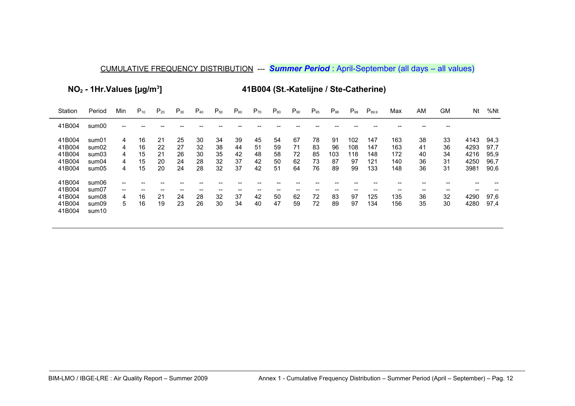**NO2 - 1Hr.Values [µg/m<sup>3</sup>**

**] 41B004 (St.-Katelijne / Ste-Catherine)**

| Station                                        | Period                                    | Min                   | $P_{10}$                   | $P_{20}$                   | $P_{30}$                   | $P_{40}$                   | $P_{50}$                   | $P_{60}$                   | $P_{70}$                   | $P_{80}$                   | $P_{90}$                   | $P_{95}$                   | $P_{98}$                    | $P_{99}$                      | $P_{99.9}$                      | Max                             | AM                         | <b>GM</b>                  | Nt                                   | %Nt                                  |
|------------------------------------------------|-------------------------------------------|-----------------------|----------------------------|----------------------------|----------------------------|----------------------------|----------------------------|----------------------------|----------------------------|----------------------------|----------------------------|----------------------------|-----------------------------|-------------------------------|---------------------------------|---------------------------------|----------------------------|----------------------------|--------------------------------------|--------------------------------------|
| 41B004                                         | sum00                                     |                       |                            |                            |                            |                            |                            |                            |                            |                            |                            |                            |                             |                               |                                 |                                 |                            |                            |                                      |                                      |
| 41B004<br>41B004<br>41B004<br>41B004<br>41B004 | sum01<br>sum02<br>sum03<br>sum04<br>sum05 | 4<br>4<br>4<br>4<br>4 | 16<br>16<br>15<br>15<br>15 | 21<br>22<br>21<br>20<br>20 | 25<br>27<br>26<br>24<br>24 | 30<br>32<br>30<br>28<br>28 | 34<br>38<br>35<br>32<br>32 | 39<br>44<br>42<br>37<br>37 | 45<br>51<br>48<br>42<br>42 | 54<br>59<br>58<br>50<br>51 | 67<br>71<br>72<br>62<br>64 | 78<br>83<br>85<br>73<br>76 | 91<br>96<br>103<br>87<br>89 | 102<br>108<br>118<br>97<br>99 | 147<br>147<br>148<br>121<br>133 | 163<br>163<br>172<br>140<br>148 | 38<br>41<br>40<br>36<br>36 | 33<br>36<br>34<br>31<br>31 | 4143<br>4293<br>4216<br>4250<br>3981 | 94,3<br>97,7<br>95.9<br>96,7<br>90,6 |
| 41B004<br>41B004<br>41B004<br>41B004<br>41B004 | sum06<br>sum07<br>sum08<br>sum09<br>sum10 | --<br>4<br>5.         | --<br>16<br>16             | --<br>21<br>19             | 24<br>23                   | 28<br>26                   | --<br>32<br>30             | 37<br>34                   | --<br>42<br>40             | 50<br>47                   | 62<br>59                   | --<br>72<br>72             | 83<br>89                    | 97<br>97                      | 125<br>134                      | 135<br>156                      | 36<br>35                   | $- -$<br>32<br>30          | --<br>4290<br>4280                   | 97,6<br>97,4                         |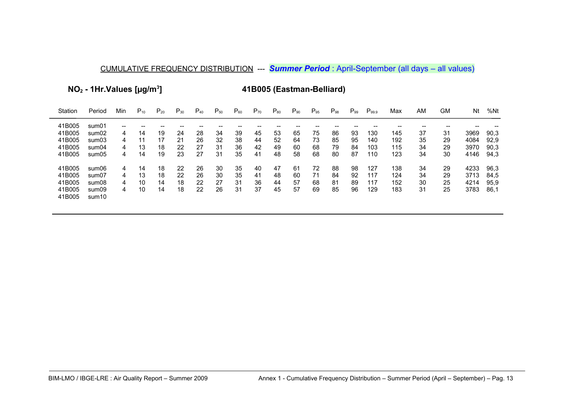**NO2 - 1Hr.Values [µg/m<sup>3</sup>**

**] 41B005 (Eastman-Belliard)**

| Station | Period            | Min | $P_{10}$ | $P_{20}$ | $P_{30}$ | $P_{40}$ | $P_{50}$ | $P_{60}$ | $P_{70}$ | $P_{80}$ | $P_{90}$ | $P_{95}$ | $P_{98}$ | $P_{.99}$ | $P_{99.9}$ | Max | AM | GМ | Nt   | %Nt  |
|---------|-------------------|-----|----------|----------|----------|----------|----------|----------|----------|----------|----------|----------|----------|-----------|------------|-----|----|----|------|------|
| 41B005  | sum01             | --  |          |          |          |          |          |          |          |          |          |          |          |           |            |     |    |    |      |      |
| 41B005  | sum02             | 4   | 14       | 19       | 24       | 28       | 34       | 39       | 45       | 53       | 65       | 75       | 86       | 93        | 130        | 145 | 37 | 31 | 3969 | 90,3 |
| 41B005  | sum03             | 4   | 11       | 17       | 21       | 26       | 32       | 38       | 44       | 52       | 64       | 73       | 85       | 95        | 140        | 192 | 35 | 29 | 4084 | 92,9 |
| 41B005  | sum04             | 4   | 13       | 18       | 22       | 27       | 31       | 36       | 42       | 49       | 60       | 68       | 79       | 84        | 103        | 115 | 34 | 29 | 3970 | 90,3 |
| 41B005  | sum05             | 4   | 14       | 19       | 23       | 27       | 31       | 35       | 41       | 48       | 58       | 68       | 80       | 87        | 110        | 123 | 34 | 30 | 4146 | 94,3 |
| 41B005  | sum06             | 4   | 14       | 18       | 22       | 26       | 30       | 35       | 40       | 47       | 61       | 72       | 88       | 98        | 127        | 138 | 34 | 29 | 4233 | 96.3 |
| 41B005  | sum07             | 4   | 13       | 18       | 22       | 26       | 30       | 35       | 41       | 48       | 60       | 71       | 84       | 92        | 117        | 124 | 34 | 29 | 3713 | 84.5 |
| 41B005  | sum08             | 4   | 10       | 14       | 18       | 22       | 27       | 31       | 36       | 44       | 57       | 68       | 81       | 89        | 117        | 152 | 30 | 25 | 4214 | 95,9 |
| 41B005  | sum09             | 4   | 10       | 14       | 18       | 22       | 26       | 31       | 37       | 45       | 57       | 69       | 85       | 96        | 129        | 183 | 31 | 25 | 3783 | 86,1 |
| 41B005  | sum <sub>10</sub> |     |          |          |          |          |          |          |          |          |          |          |          |           |            |     |    |    |      |      |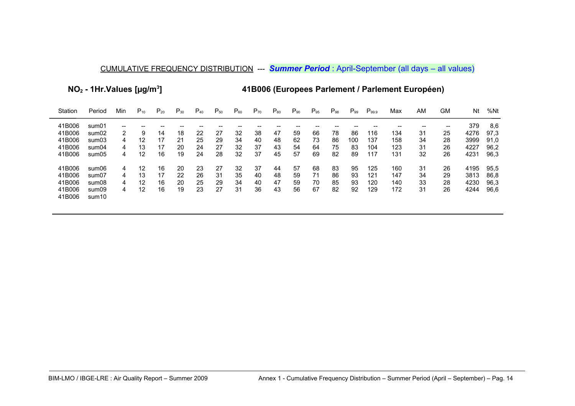**NO2 - 1Hr.Values [µg/m<sup>3</sup>**

**] 41B006 (Europees Parlement / Parlement Européen)**

| Station | Period            | Min | $P_{10}$ | $P_{20}$ | $P_{30}$ | $P_{40}$ | $P_{50}$ | $P_{60}$ | $P_{70}$ | $P_{80}$ | $P_{90}$ | $P_{95}$ | $P_{98}$ | $P_{99}$ | $P_{99.9}$ | Max | ΑM | GМ    | Nt   | %Nt  |
|---------|-------------------|-----|----------|----------|----------|----------|----------|----------|----------|----------|----------|----------|----------|----------|------------|-----|----|-------|------|------|
| 41B006  | sum01             | --  |          |          |          |          |          |          |          |          |          |          |          |          |            |     |    | $- -$ | 379  | 8.6  |
| 41B006  | sum02             | 2   | 9        | 14       | 18       | 22       | 27       | 32       | 38       | 47       | 59       | 66       | 78       | 86       | 116        | 134 | 31 | 25    | 4276 | 97.3 |
| 41B006  | sum03             | 4   | $12 \,$  | 17       | 21       | 25       | 29       | 34       | 40       | 48       | 62       | 73       | 86       | 100      | 137        | 158 | 34 | 28    | 3999 | 91.0 |
| 41B006  | sum04             | 4   | 13       | 17       | 20       | 24       | 27       | 32       | 37       | 43       | 54       | 64       | 75       | 83       | 104        | 123 | 31 | 26    | 4227 | 96,2 |
| 41B006  | sum05             | 4   | 12       | 16       | 19       | 24       | 28       | 32       | 37       | 45       | 57       | 69       | 82       | 89       | 117        | 131 | 32 | 26    | 4231 | 96,3 |
| 41B006  | sum06             | 4   | 12       | 16       | 20       | 23       | 27       | 32       | -37      | 44       | 57       | 68       | 83       | 95       | 125        | 160 | 31 | 26    | 4195 | 95.5 |
| 41B006  | sum07             | 4   | 13       | 17       | 22       | 26       | 31       | 35       | 40       | 48       | 59       | 71       | 86       | 93       | 121        | 147 | 34 | 29    | 3813 | 86,8 |
| 41B006  | sum08             | 4   | 12       | 16       | 20       | 25       | 29       | 34       | 40       | 47       | 59       | 70       | 85       | 93       | 120        | 140 | 33 | 28    | 4230 | 96,3 |
| 41B006  | sum09             | 4   | 12       | 16       | 19       | 23       | 27       | 31       | 36       | 43       | 56       | 67       | 82       | 92       | 129        | 172 | 31 | 26    | 4244 | 96,6 |
| 41B006  | sum <sub>10</sub> |     |          |          |          |          |          |          |          |          |          |          |          |          |            |     |    |       |      |      |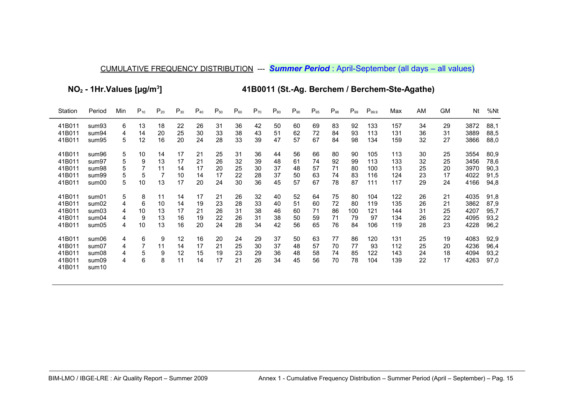**NO2 - 1Hr.Values [µg/m<sup>3</sup>**

**] 41B0011 (St.-Ag. Berchem / Berchem-Ste-Agathe)**

| Station | Period            | Min | $P_{10}$ | $P_{20}$ | $P_{30}$ | $P_{40}$ | $P_{50}$ | $P_{60}$ | $P_{70}$ | $P_{80}$ | $P_{90}$ | $P_{95}$ | $P_{98}$ | $P_{99}$ | $P_{99.9}$ | Max | AM | <b>GM</b> | Nt   | %Nt  |
|---------|-------------------|-----|----------|----------|----------|----------|----------|----------|----------|----------|----------|----------|----------|----------|------------|-----|----|-----------|------|------|
| 41B011  | sum93             | 6   | 13       | 18       | 22       | 26       | 31       | 36       | 42       | 50       | 60       | 69       | 83       | 92       | 133        | 157 | 34 | 29        | 3872 | 88,1 |
| 41B011  | sum94             | 4   | 14       | 20       | 25       | 30       | 33       | 38       | 43       | 51       | 62       | 72       | 84       | 93       | 113        | 131 | 36 | 31        | 3889 | 88,5 |
| 41B011  | sum95             | 5   | 12       | 16       | 20       | 24       | 28       | 33       | 39       | 47       | 57       | 67       | 84       | 98       | 134        | 159 | 32 | 27        | 3866 | 88,0 |
| 41B011  | sum96             | 5   | 10       | 14       | 17       | 21       | 25       | 31       | 36       | 44       | 56       | 66       | 80       | 90       | 105        | 113 | 30 | 25        | 3554 | 80,9 |
| 41B011  | sum97             | 5   | 9        | 13       | 17       | 21       | 26       | 32       | 39       | 48       | 61       | 74       | 92       | 99       | 113        | 133 | 32 | 25        | 3456 | 78,6 |
| 41B011  | sum98             | 5   | 7        | 11       | 14       | 17       | 20       | 25       | 30       | 37       | 48       | 57       | 71       | 80       | 100        | 113 | 25 | 20        | 3970 | 90,3 |
| 41B011  | sum <sub>99</sub> | 5   | 5        | 7        | 10       | 14       | 17       | 22       | 28       | 37       | 50       | 63       | 74       | 83       | 116        | 124 | 23 | 17        | 4022 | 91,5 |
| 41B011  | sum00             | 5   | 10       | 13       | 17       | 20       | 24       | 30       | 36       | 45       | 57       | 67       | 78       | 87       | 111        | 117 | 29 | 24        | 4166 | 94,8 |
| 41B011  | sum01             | 5   | 8        | 11       | 14       | 17       | 21       | 26       | 32       | 40       | 52       | 64       | 75       | 80       | 104        | 122 | 26 | 21        | 4035 | 91,8 |
| 41B011  | sum02             | 4   | 6        | 10       | 14       | 19       | 23       | 28       | 33       | 40       | 51       | 60       | 72       | 80       | 119        | 135 | 26 | 21        | 3862 | 87,9 |
| 41B011  | sum03             | 4   | 10       | 13       | 17       | 21       | 26       | 31       | 38       | 46       | 60       | 71       | 86       | 100      | 121        | 144 | 31 | 25        | 4207 | 95,7 |
| 41B011  | sum04             | 4   | 9        | 13       | 16       | 19       | 22       | 26       | 31       | 38       | 50       | 59       | 71       | 79       | 97         | 134 | 26 | 22        | 4095 | 93,2 |
| 41B011  | sum05             | 4   | 10       | 13       | 16       | 20       | 24       | 28       | 34       | 42       | 56       | 65       | 76       | 84       | 106        | 119 | 28 | 23        | 4228 | 96,2 |
| 41B011  | sum06             | 4   | 6        | 9        | 12       | 16       | 20       | 24       | 29       | 37       | 50       | 63       | 77       | 86       | 120        | 131 | 25 | 19        | 4083 | 92,9 |
| 41B011  | sum07             | 4   |          | 11       | 14       | 17       | 21       | 25       | 30       | 37       | 48       | 57       | 70       | 77       | 93         | 112 | 25 | 20        | 4236 | 96,4 |
| 41B011  | sum08             | 4   | 5        | 9        | 12       | 15       | 19       | 23       | 29       | 36       | 48       | 58       | 74       | 85       | 122        | 143 | 24 | 18        | 4094 | 93,2 |
| 41B011  | sum09             | 4   | 6        | 8        | 11       | 14       | 17       | 21       | 26       | 34       | 45       | 56       | 70       | 78       | 104        | 139 | 22 | 17        | 4263 | 97,0 |
| 41B011  | sum <sub>10</sub> |     |          |          |          |          |          |          |          |          |          |          |          |          |            |     |    |           |      |      |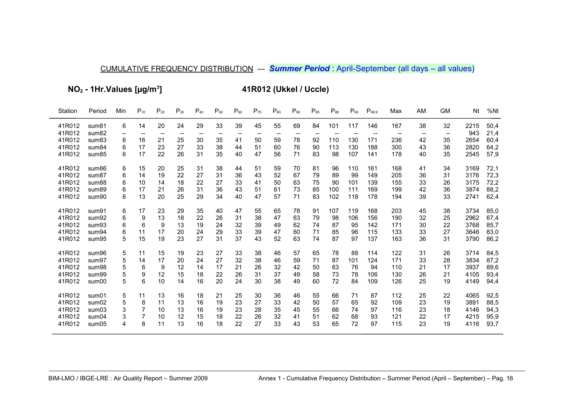**NO2 - 1Hr.Values [µg/m<sup>3</sup>**

**] 41R012 (Ukkel / Uccle)**

| Station          | Period            | Min     | $P_{10}$ | $P_{20}$                | $P_{30}$                       | $P_{40}$ | $P_{50}$ | $P_{60}$ | $P_{70}$  | $P_{80}$ | $P_{90}$ | $P_{95}$                       | $P_{98}$ | $P_{99}$                                     | $P_{99.9}$                                 | Max                             | AM                      | <b>GM</b>                                 | Nt          | %Nt          |
|------------------|-------------------|---------|----------|-------------------------|--------------------------------|----------|----------|----------|-----------|----------|----------|--------------------------------|----------|----------------------------------------------|--------------------------------------------|---------------------------------|-------------------------|-------------------------------------------|-------------|--------------|
| 41R012<br>41R012 | sum81<br>sum82    | 6<br>-- | 14       | 20<br>$\hspace{0.05cm}$ | 24<br>$\overline{\phantom{a}}$ | 29       | 33       | 39       | 45<br>$-$ | 55       | 69       | 84<br>$\overline{\phantom{a}}$ | 101      | 117<br>$\hspace{0.05cm}$ – $\hspace{0.05cm}$ | 146<br>$\hspace{0.05cm}$ $\hspace{0.05cm}$ | 167<br>$\overline{\phantom{m}}$ | 38<br>$\hspace{0.05cm}$ | 32<br>$\hspace{0.05cm}$ $\hspace{0.05cm}$ | 2215<br>943 | 50,4<br>21,4 |
| 41R012           | sum <sub>83</sub> | 6       | 16       | 21                      | 25                             | 30       | 35       | 41       | 50        | 59       | 78       | 92                             | 110      | 130                                          | 171                                        | 236                             | 42                      | 35                                        | 2654        | 60,4         |
| 41R012           | sum <sub>84</sub> | 6       | 17       | 23                      | 27                             | 33       | 38       | 44       | 51        | 60       | 76       | 90                             | 113      | 130                                          | 188                                        | 300                             | 43                      | 36                                        | 2820        | 64,2         |
| 41R012           | sum <sub>85</sub> | 6       | 17       | 22                      | 26                             | 31       | 35       | 40       | 47        | 56       | 71       | 83                             | 98       | 107                                          | 141                                        | 178                             | 40                      | 35                                        | 2545        | 57,9         |
| 41R012           | sum86             | 6       | 15       | 20                      | 25                             | 31       | 38       | 44       | 51        | 59       | 70       | 81                             | 96       | 110                                          | 161                                        | 168                             | 41                      | 34                                        | 3169        | 72,1         |
| 41R012           | sum <sub>87</sub> | 6       | 14       | 19                      | 22                             | 27       | 31       | 36       | 43        | 52       | 67       | 79                             | 89       | 99                                           | 149                                        | 205                             | 36                      | 31                                        | 3176        | 72,3         |
| 41R012           | sum88             | 6       | 10       | 14                      | 18                             | 22       | 27       | 33       | 41        | 50       | 63       | 75                             | 90       | 101                                          | 139                                        | 155                             | 33                      | 26                                        | 3175        | 72,2         |
| 41R012           | sum89             | 6       | 17       | 21                      | 26                             | 31       | 36       | 43       | 51        | 61       | 73       | 85                             | 100      | 111                                          | 169                                        | 199                             | 42                      | 36                                        | 3874        | 88,2         |
| 41R012           | sum90             | 6       | 13       | 20                      | 25                             | 29       | 34       | 40       | 47        | 57       | 71       | 83                             | 102      | 118                                          | 178                                        | 194                             | 39                      | 33                                        | 2741        | 62,4         |
| 41R012           | sum91             | 6       | 17       | 23                      | 29                             | 35       | 40       | 47       | 55        | 65       | 78       | 91                             | 107      | 119                                          | 168                                        | 203                             | 45                      | 38                                        | 3734        | 85,0         |
| 41R012           | sum92             | 6       | 9        | 13                      | 18                             | 22       | 26       | 31       | 38        | 47       | 63       | 79                             | 98       | 106                                          | 156                                        | 190                             | 32                      | 25                                        | 2962        | 67,4         |
| 41R012           | sum93             | 6       | 6        | 9                       | 13                             | 19       | 24       | 32       | 39        | 49       | 62       | 74                             | 87       | 95                                           | 142                                        | 171                             | 30                      | 22                                        | 3768        | 85,7         |
| 41R012           | sum94             | 6       | 11       | 17                      | 20                             | 24       | 29       | 33       | 39        | 47       | 60       | 71                             | 85       | 96                                           | 115                                        | 133                             | 33                      | 27                                        | 3646        | 83,0         |
| 41R012           | sum95             | 5       | 15       | 19                      | 23                             | 27       | 31       | 37       | 43        | 52       | 63       | 74                             | 87       | 97                                           | 137                                        | 163                             | 36                      | 31                                        | 3790        | 86,2         |
| 41R012           | sum96             | 5       | 11       | 15                      | 19                             | 23       | 27       | 33       | 38        | 46       | 57       | 65                             | 78       | 88                                           | 114                                        | 122                             | 31                      | 26                                        | 3714        | 84,5         |
| 41R012           | sum97             | 5       | 14       | 17                      | 20                             | 24       | 27       | 32       | 38        | 46       | 59       | 71                             | 87       | 101                                          | 124                                        | 171                             | 33                      | 28                                        | 3834        | 87,2         |
| 41R012           | sum98             | 5       | 6        | 9                       | 12                             | 14       | 17       | 21       | 26        | 32       | 42       | 50                             | 63       | 76                                           | 94                                         | 110                             | 21                      | 17                                        | 3937        | 89,6         |
| 41R012           | sum99             | 5       | 9        | 12                      | 15                             | 18       | 22       | 26       | 31        | 37       | 49       | 58                             | 73       | 78                                           | 106                                        | 130                             | 26                      | 21                                        | 4105        | 93,4         |
| 41R012           | sum00             | 5       | 6        | 10                      | 14                             | 16       | 20       | 24       | 30        | 38       | 49       | 60                             | 72       | 84                                           | 109                                        | 126                             | 25                      | 19                                        | 4149        | 94,4         |
| 41R012           | sum01             | 5       | 11       | 13                      | 16                             | 18       | 21       | 25       | 30        | 36       | 46       | 55                             | 66       | 71                                           | 87                                         | 112                             | 25                      | 22                                        | 4065        | 92,5         |
| 41R012           | sum02             | 5       | 8        | 11                      | 13                             | 16       | 19       | 23       | 27        | 33       | 42       | 50                             | 57       | 65                                           | 92                                         | 109                             | 23                      | 19                                        | 3891        | 88,5         |
| 41R012           | sum03             | 3       |          | 10                      | 13                             | 16       | 19       | 23       | 28        | 35       | 45       | 55                             | 66       | 74                                           | 97                                         | 116                             | 23                      | 18                                        | 4146        | 94,3         |
| 41R012           | sum04             | 3       |          | 10                      | 12                             | 15       | 18       | 22       | 26        | 32       | 41       | 51                             | 62       | 68                                           | 93                                         | 121                             | 22                      | 17                                        | 4215        | 95,9         |
| 41R012           | sum05             | 4       | 8        | 11                      | 13                             | 16       | 18       | 22       | 27        | 33       | 43       | 53                             | 65       | 72                                           | 97                                         | 115                             | 23                      | 19                                        | 4116        | 93,7         |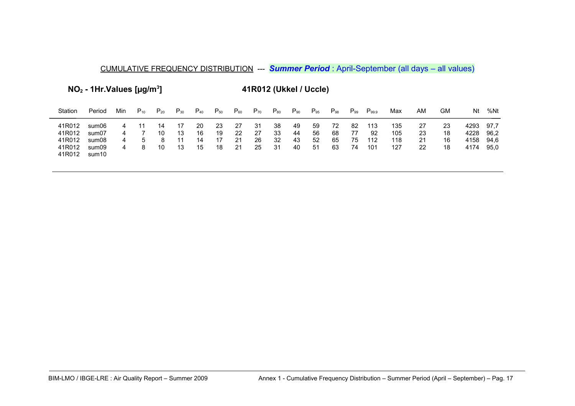**NO2 - 1Hr.Values [µg/m<sup>3</sup>**

**] 41R012 (Ukkel / Uccle)**

| Station                                        | Period                                    | Min         | $P_{10}$      | $P_{20}$       | $\mathsf{P}_{30}$ | $P_{40}$             | $\mathsf{P}_{50}$    | $\mathsf{P}_{60}$    | $P_{70}$             | $\mathsf{P}_{80}$    | $P_{90}$             | $P_{95}$             | $P_{98}$             | $P_{99}$             | $P_{99.9}$              | Max                      | ΑM                   | GM                   | Nt                           | %Nt                          |
|------------------------------------------------|-------------------------------------------|-------------|---------------|----------------|-------------------|----------------------|----------------------|----------------------|----------------------|----------------------|----------------------|----------------------|----------------------|----------------------|-------------------------|--------------------------|----------------------|----------------------|------------------------------|------------------------------|
| 41R012<br>41R012<br>41R012<br>41R012<br>41R012 | sum06<br>sum07<br>sum08<br>sum09<br>sum10 | 4<br>4<br>4 | $\mathcal{D}$ | 14<br>10<br>10 | 13<br>13          | 20<br>16<br>14<br>15 | 23<br>19<br>17<br>18 | 27<br>22<br>21<br>21 | 31<br>27<br>26<br>25 | 38<br>33<br>32<br>31 | 49<br>44<br>43<br>40 | 59<br>56<br>52<br>51 | 72<br>68<br>65<br>63 | 82<br>77<br>75<br>74 | 113<br>92<br>112<br>101 | 135<br>105<br>118<br>127 | 27<br>23<br>21<br>22 | 23<br>18<br>16<br>18 | 4293<br>4228<br>4158<br>4174 | 97.7<br>96.2<br>94.6<br>95.0 |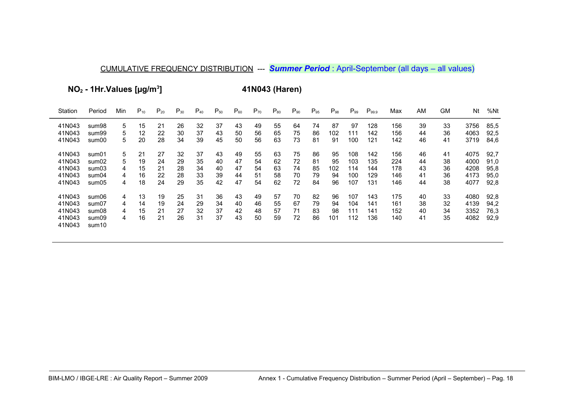**NO2 - 1Hr.Values [µg/m<sup>3</sup>**

**] 41N043 (Haren)**

| Station          | Period         | Min | $P_{10}$ | $P_{20}$ | $P_{30}$ | $P_{40}$ | $P_{50}$ | $P_{60}$ | $P_{70}$ | $P_{80}$ | $P_{90}$ | $P_{95}$ | $P_{98}$ | $P_{99}$ | $P_{99.9}$ | Max | AM | GM. | Nt   | %Nt  |
|------------------|----------------|-----|----------|----------|----------|----------|----------|----------|----------|----------|----------|----------|----------|----------|------------|-----|----|-----|------|------|
| 41N043           | sum98          | 5   | 15       | 21       | 26       | 32       | 37       | 43       | 49       | 55       | 64       | 74       | 87       | 97       | 128        | 156 | 39 | 33  | 3756 | 85,5 |
| 41N043           | sum99          | 5   | 12       | 22       | 30       | 37       | 43       | 50       | 56       | 65       | 75       | 86       | 102      | 111      | 142        | 156 | 44 | 36  | 4063 | 92,5 |
| 41N043           | sum00          | 5   | 20       | 28       | 34       | 39       | 45       | 50       | 56       | 63       | 73       | 81       | 91       | 100      | 121        | 142 | 46 | 41  | 3719 | 84,6 |
| 41N043           | sum01          | 5   | 21       | 27       | 32       | 37       | 43       | 49       | 55       | 63       | 75       | 86       | 95       | 108      | 142        | 156 | 46 | 41  | 4075 | 92,7 |
| 41N043           | sum02          | 5   | 19       | 24       | 29       | 35       | 40       | 47       | 54       | 62       | 72       | 81       | 95       | 103      | 135        | 224 | 44 | 38  | 4000 | 91,0 |
| 41N043           | sum03          | 4   | 15       | 21       | 28       | 34       | 40       | 47       | 54       | 63       | 74       | 85       | 102      | 114      | 144        | 178 | 43 | 36  | 4208 | 95,8 |
| 41N043           | sum04          | 4   | 16       | 22       | 28       | 33       | 39       | 44       | 51       | 58       | 70       | 79       | 94       | 100      | 129        | 146 | 41 | 36  | 4173 | 95,0 |
| 41N043           | sum05          | 4   | 18       | 24       | 29       | 35       | 42       | 47       | 54       | 62       | 72       | 84       | 96       | 107      | 131        | 146 | 44 | 38  | 4077 | 92,8 |
| 41N043           | sum06          | 4   | 13       | 19       | 25       | 31       | 36       | 43       | 49       | 57       | 70       | 82       | 96       | 107      | 143        | 175 | 40 | 33  | 4080 | 92,8 |
| 41N043           | sum07          | 4   | 14       | 19       | 24       | 29       | 34       | 40       | 46       | 55       | 67       | 79       | 94       | 104      | 141        | 161 | 38 | 32  | 4139 | 94,2 |
| 41N043           | sum08          | 4   | 15       | 21       | 27       | 32       | 37       | 42       | 48       | 57       | 71       | 83       | 98       | 111      | 141        | 152 | 40 | 34  | 3352 | 76,3 |
| 41N043<br>41N043 | sum09<br>sum10 | 4   | 16       | 21       | 26       | 31       | 37       | 43       | 50       | 59       | 72       | 86       | 101      | 112      | 136        | 140 | 41 | 35  | 4082 | 92,9 |
|                  |                |     |          |          |          |          |          |          |          |          |          |          |          |          |            |     |    |     |      |      |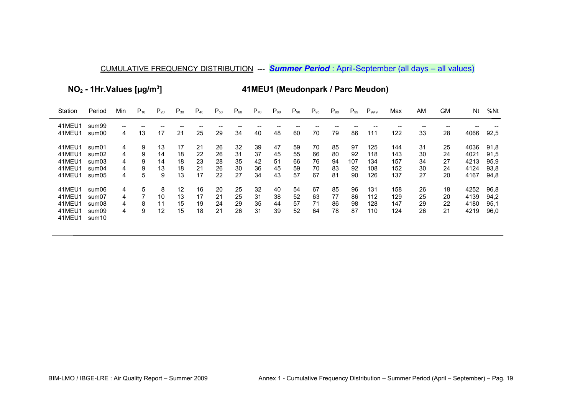**NO2 - 1Hr.Values [µg/m<sup>3</sup>**

**] 41MEU1 (Meudonpark / Parc Meudon)**

| Station                                        | Period                                    | Min                   | $P_{10}$              | $P_{20}$                  | $P_{30}$                            | $P_{40}$                   | $P_{50}$                   | $P_{60}$                   | $P_{70}$                   | $P_{80}$                   | $P_{90}$                   | $P_{95}$                   | $P_{98}$                   | $P_{.99}$                   | $P_{99.9}$                      | Max                             | AM                         | GM                         | Nt                                   | %Nt                                  |
|------------------------------------------------|-------------------------------------------|-----------------------|-----------------------|---------------------------|-------------------------------------|----------------------------|----------------------------|----------------------------|----------------------------|----------------------------|----------------------------|----------------------------|----------------------------|-----------------------------|---------------------------------|---------------------------------|----------------------------|----------------------------|--------------------------------------|--------------------------------------|
| 41MEU1<br>41MEU1                               | sum99<br>sum00                            | 4                     | 13                    | 17                        | 21                                  | 25                         | 29                         | 34                         | 40                         | 48                         | 60                         | 70                         | 79                         | 86                          | 111                             | 122                             | 33                         | 28                         | 4066                                 | 92,5                                 |
| 41MEU1<br>41MEU1<br>41MEU1<br>41MEU1<br>41MEU1 | sum01<br>sum02<br>sum03<br>sum04<br>sum05 | 4<br>4<br>4<br>4<br>4 | 9<br>9<br>9<br>9<br>5 | 13<br>14<br>14<br>13<br>9 | 17<br>18<br>18<br>18<br>13          | 21<br>22<br>23<br>21<br>17 | 26<br>26<br>28<br>26<br>22 | 32<br>31<br>35<br>30<br>27 | 39<br>37<br>42<br>36<br>34 | 47<br>45<br>51<br>45<br>43 | 59<br>55<br>66<br>59<br>57 | 70<br>66<br>76<br>70<br>67 | 85<br>80<br>94<br>83<br>81 | 97<br>92<br>107<br>92<br>90 | 125<br>118<br>134<br>108<br>126 | 144<br>143<br>157<br>152<br>137 | 31<br>30<br>34<br>30<br>27 | 25<br>24<br>27<br>24<br>20 | 4036<br>4021<br>4213<br>4124<br>4167 | 91,8<br>91,5<br>95,9<br>93,8<br>94,8 |
| 41MEU1<br>41MEU1<br>41MEU1<br>41MEU1<br>41MEU1 | sum06<br>sum07<br>sum08<br>sum09<br>sum10 | 4<br>4<br>4<br>4      | 5<br>8<br>9           | 8<br>10<br>11<br>12       | $12 \overline{ }$<br>13<br>15<br>15 | 16<br>17<br>19<br>18       | 20<br>21<br>24<br>21       | 25<br>25<br>29<br>26       | 32<br>31<br>35<br>31       | 40<br>38<br>44<br>39       | 54<br>52<br>57<br>52       | 67<br>63<br>71<br>64       | 85<br>77<br>86<br>78       | 96<br>86<br>98<br>87        | 131<br>112<br>128<br>110        | 158<br>129<br>147<br>124        | 26<br>25<br>29<br>26       | 18<br>20<br>22<br>21       | 4252<br>4139<br>4180<br>4219         | 96,8<br>94,2<br>95.1<br>96,0         |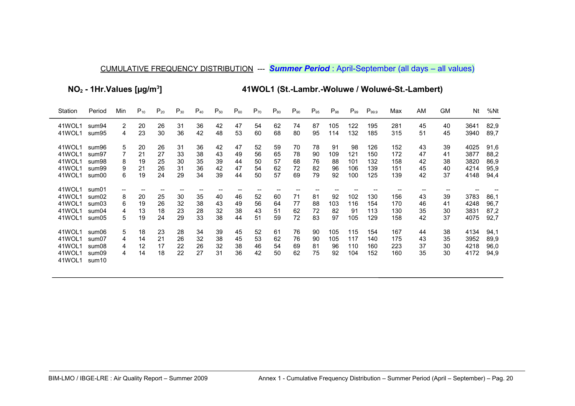**NO2 - 1Hr.Values [µg/m<sup>3</sup>**

**] 41WOL1 (St.-Lambr.-Woluwe / Woluwé-St.-Lambert)**

| Station                                        | Period                                                | Min                    | $P_{10}$                   | $P_{20}$                   | $P_{30}$                   | $P_{40}$                   | $P_{50}$                   | $P_{60}$                   | $P_{70}$                   | $P_{80}$                   | $P_{90}$                   | $P_{95}$                   | $P_{98}$                    | $P_{99}$                       | $P_{99.9}$                      | Max                             | AM                         | GM                         | Nt                                   | %Nt                                  |
|------------------------------------------------|-------------------------------------------------------|------------------------|----------------------------|----------------------------|----------------------------|----------------------------|----------------------------|----------------------------|----------------------------|----------------------------|----------------------------|----------------------------|-----------------------------|--------------------------------|---------------------------------|---------------------------------|----------------------------|----------------------------|--------------------------------------|--------------------------------------|
| 41WOL1<br>41WOL1                               | sum94<br>sum95                                        | 2<br>4                 | 20<br>23                   | 26<br>30                   | 31<br>36                   | 36<br>42                   | 42<br>48                   | 47<br>53                   | 54<br>60                   | 62<br>68                   | 74<br>80                   | 87<br>95                   | 105<br>114                  | 122<br>132                     | 195<br>185                      | 281<br>315                      | 45<br>51                   | 40<br>45                   | 3641<br>3940                         | 82,9<br>89.7                         |
| 41WOL1<br>41WOL1<br>41WOL1<br>41WOL1<br>41WOL1 | sum96<br>sum97<br>sum98<br>sum99<br>sum00             | 5<br>8<br>9<br>6       | 20<br>21<br>19<br>21<br>19 | 26<br>27<br>25<br>26<br>24 | 31<br>33<br>30<br>31<br>29 | 36<br>38<br>35<br>36<br>34 | 42<br>43<br>39<br>42<br>39 | 47<br>49<br>44<br>47<br>44 | 52<br>56<br>50<br>54<br>50 | 59<br>65<br>57<br>62<br>57 | 70<br>78<br>68<br>72<br>69 | 78<br>90<br>76<br>82<br>79 | 91<br>109<br>88<br>96<br>92 | 98<br>121<br>101<br>106<br>100 | 126<br>150<br>132<br>139<br>125 | 152<br>172<br>158<br>151<br>139 | 43<br>47<br>42<br>45<br>42 | 39<br>41<br>38<br>40<br>37 | 4025<br>3877<br>3820<br>4214<br>4148 | 91,6<br>88,2<br>86,9<br>95,9<br>94,4 |
| 41WOL1<br>41WOL1<br>41WOL1<br>41WOL1<br>41WOL1 | sum01<br>sum02<br>sum03<br>sum04<br>sum05             | --<br>8<br>6<br>4<br>5 | --<br>20<br>19<br>13<br>19 | --<br>25<br>26<br>18<br>24 | --<br>30<br>32<br>23<br>29 | 35<br>38<br>28<br>33       | 40<br>43<br>32<br>38       | 46<br>49<br>38<br>44       | 52<br>56<br>43<br>51       | 60<br>64<br>51<br>59       | 71<br>77<br>62<br>72       | 81<br>88<br>72<br>83       | 92<br>103<br>82<br>97       | 102<br>116<br>91<br>105        | 130<br>154<br>113<br>129        | 156<br>170<br>130<br>158        | 43<br>46<br>35<br>42       | 39<br>41<br>30<br>37       | 3783<br>4248<br>3831<br>4075         | 86,1<br>96,7<br>87,2<br>92,7         |
| 41WOL1<br>41WOL1<br>41WOL1<br>41WOL1<br>41WOL1 | sum06<br>sum07<br>sum08<br>sum09<br>sum <sub>10</sub> | 5<br>4<br>4<br>4       | 18<br>14<br>12<br>14       | 23<br>21<br>17<br>18       | 28<br>26<br>22<br>22       | 34<br>32<br>26<br>27       | 39<br>38<br>32<br>31       | 45<br>45<br>38<br>36       | 52<br>53<br>46<br>42       | 61<br>62<br>54<br>50       | 76<br>76<br>69<br>62       | 90<br>90<br>81<br>75       | 105<br>105<br>96<br>92      | 115<br>117<br>110<br>104       | 154<br>140<br>160<br>152        | 167<br>175<br>223<br>160        | 44<br>43<br>37<br>35       | 38<br>35<br>30<br>30       | 4134<br>3952<br>4218<br>4172         | 94,1<br>89,9<br>96,0<br>94,9         |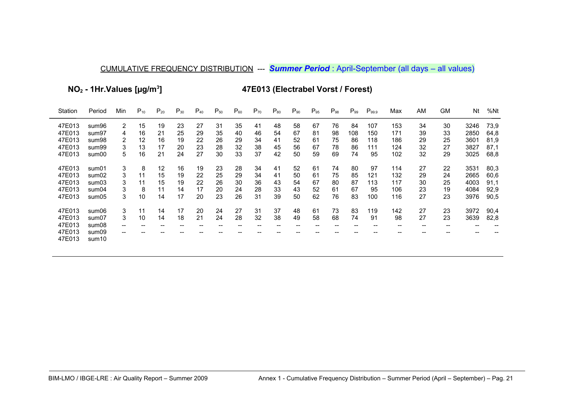NO<sub>2</sub> - 1Hr. Values [µg/m<sup>3</sup>]

47E013 (Electrabel Vorst / Forest)

| Station | Period            | Min            | $P_{10}$ | $P_{20}$ | $P_{30}$ | $P_{40}$ | $P_{50}$ | $P_{60}$ | $P_{70}$ | $P_{80}$ | $P_{90}$ | $P_{95}$ | $P_{98}$ | $P_{99}$ | $P_{99.9}$ | Max               | AM                       | <b>GM</b> | Nt   | %Nt  |
|---------|-------------------|----------------|----------|----------|----------|----------|----------|----------|----------|----------|----------|----------|----------|----------|------------|-------------------|--------------------------|-----------|------|------|
| 47E013  | sum96             | $\overline{2}$ | 15       | 19       | 23       | 27       | 31       | 35       | 41       | 48       | 58       | 67       | 76       | 84       | 107        | 153               | 34                       | 30        | 3246 | 73,9 |
| 47E013  | sum97             | 4              | 16       | 21       | 25       | 29       | 35       | 40       | 46       | 54       | 67       | 81       | 98       | 108      | 150        | 171               | 39                       | 33        | 2850 | 64,8 |
| 47E013  | sum98             | 2              | 12       | 16       | 19       | 22       | 26       | 29       | 34       | 41       | 52       | 61       | 75       | 86       | 118        | 186               | 29                       | 25        | 3601 | 81,9 |
| 47E013  | sum99             | 3              | 13       | 17       | 20       | 23       | 28       | 32       | 38       | 45       | 56       | 67       | 78       | 86       | 111        | 124               | 32                       | 27        | 3827 | 87,1 |
| 47E013  | sum00             | 5              | 16       | 21       | 24       | 27       | 30       | 33       | 37       | 42       | 50       | 59       | 69       | 74       | 95         | 102               | 32                       | 29        | 3025 | 68,8 |
| 47E013  | sum01             | 3              | 8        | 12       | 16       | 19       | 23       | 28       | 34       | 41       | 52       | 61       | 74       | 80       | 97         | 114               | 27                       | 22        | 3531 | 80,3 |
| 47E013  | sum02             | 3              | 11       | 15       | 19       | 22       | 25       | 29       | 34       | 41       | 50       | 61       | 75       | 85       | 121        | 132               | 29                       | 24        | 2665 | 60,6 |
| 47E013  | sum03             | 3              | 11       | 15       | 19       | 22       | 26       | 30       | 36       | 43       | 54       | 67       | 80       | 87       | 113        | 117               | 30                       | 25        | 4003 | 91,1 |
| 47E013  | sum04             | 3              | 8        | 11       | 14       | 17       | 20       | 24       | 28       | 33       | 43       | 52       | 61       | 67       | 95         | 106               | 23                       | 19        | 4084 | 92,9 |
| 47E013  | sum05             | 3              | 10       | 14       | 17       | 20       | 23       | 26       | 31       | 39       | 50       | 62       | 76       | 83       | 100        | 116               | 27                       | 23        | 3976 | 90,5 |
| 47E013  | sum06             | 3              | 11       | 14       | 17       | 20       | 24       | 27       | 31       | 37       | 48       | 61       | 73       | 83       | 119        | 142               | 27                       | 23        | 3972 | 90,4 |
| 47E013  | sum07             | 3              | 10       | 14       | 18       | 21       | 24       | 28       | 32       | 38       | 49       | 58       | 68       | 74       | 91         | 98                | 27                       | 23        | 3639 | 82,8 |
| 47E013  | sum08             | $- -$          | --       | $- -$    | $- -$    |          | --       | --       | $-$      | --       |          | --       | --       | $- -$    | $- -$      | $\hspace{0.05cm}$ | $\overline{\phantom{m}}$ | $- -$     | --   |      |
| 47E013  | sum09             | $- -$          |          |          |          |          |          |          |          |          |          |          |          |          |            |                   |                          |           |      |      |
| 47E013  | sum <sub>10</sub> |                |          |          |          |          |          |          |          |          |          |          |          |          |            |                   |                          |           |      |      |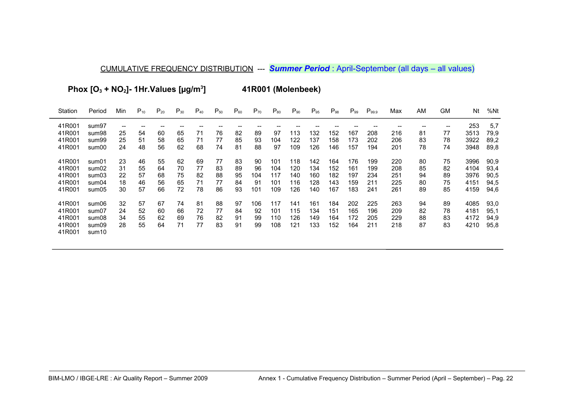Phox  $[O_3 + NO_2]$ - 1Hr. Values  $[µg/m^3]$ 

41R001 (Molenbeek)

| Station          | Period         | Min                                   | $P_{10}$ | $P_{20}$ | $P_{30}$ | $P_{40}$ | $P_{50}$ | $P_{60}$ | $P_{70}$ | $P_{80}$ | $P_{90}$ | $P_{95}$ | $P_{98}$ | $P_{99}$ | $P_{99.9}$ | Max | AM | <b>GM</b> | Nt   | %Nt  |
|------------------|----------------|---------------------------------------|----------|----------|----------|----------|----------|----------|----------|----------|----------|----------|----------|----------|------------|-----|----|-----------|------|------|
| 41R001           | sum97          | $\hspace{0.05cm}$ – $\hspace{0.05cm}$ |          |          |          |          |          |          |          |          |          |          |          |          |            |     |    | --        | 253  | 5,7  |
| 41R001           | sum98          | 25                                    | 54       | 60       | 65       | 71       | 76       | 82       | 89       | 97       | 113      | 132      | 152      | 167      | 208        | 216 | 81 | 77        | 3513 | 79,9 |
| 41R001           | sum99          | 25                                    | 51       | 58       | 65       | 71       | 77       | 85       | 93       | 104      | 122      | 137      | 158      | 173      | 202        | 206 | 83 | 78        | 3922 | 89,2 |
| 41R001           | sum00          | 24                                    | 48       | 56       | 62       | 68       | 74       | 81       | 88       | 97       | 109      | 126      | 146      | 157      | 194        | 201 | 78 | 74        | 3948 | 89,8 |
| 41R001           | sum01          | 23                                    | 46       | 55       | 62       | 69       | 77       | 83       | 90       | 101      | 118      | 142      | 164      | 176      | 199        | 220 | 80 | 75        | 3996 | 90,9 |
| 41R001           | sum02          | 31                                    | 55       | 64       | 70       | 77       | 83       | 89       | 96       | 104      | 120      | 134      | 152      | 161      | 199        | 208 | 85 | 82        | 4104 | 93,4 |
| 41R001           | sum03          | 22                                    | 57       | 68       | 75       | 82       | 88       | 95       | 104      | 117      | 140      | 160      | 182      | 197      | 234        | 251 | 94 | 89        | 3976 | 90,5 |
| 41R001           | sum04          | 18                                    | 46       | 56       | 65       | 71       | 77       | 84       | 91       | 101      | 116      | 128      | 143      | 159      | 211        | 225 | 80 | 75        | 4151 | 94,5 |
| 41R001           | sum05          | 30                                    | 57       | 66       | 72       | 78       | 86       | 93       | 101      | 109      | 126      | 140      | 167      | 183      | 241        | 261 | 89 | 85        | 4159 | 94,6 |
| 41R001           | sum06          | 32                                    | 57       | 67       | 74       | 81       | 88       | 97       | 106      | 117      | 141      | 161      | 184      | 202      | 225        | 263 | 94 | 89        | 4085 | 93,0 |
| 41R001           | sum07          | 24                                    | 52       | 60       | 66       | 72       | 77       | 84       | 92       | 101      | 115      | 134      | 151      | 165      | 196        | 209 | 82 | 78        | 4181 | 95,1 |
| 41R001           | sum08          | 34                                    | 55       | 62       | 69       | 76       | 82       | 91       | 99       | 110      | 126      | 149      | 164      | 172      | 205        | 229 | 88 | 83        | 4172 | 94,9 |
| 41R001<br>41R001 | sum09<br>sum10 | 28                                    | 55       | 64       | 71       | 77       | 83       | 91       | 99       | 108      | 121      | 133      | 152      | 164      | 211        | 218 | 87 | 83        | 4210 | 95,8 |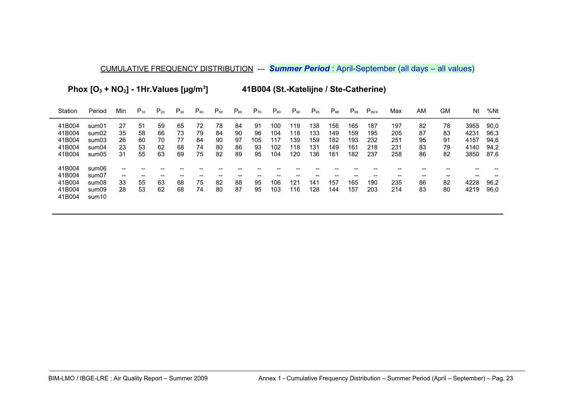**Phox [O3 + NO2] - 1Hr.Values [µg/m<sup>3</sup>**

**] 41B004 (St.-Katelijne / Ste-Catherine)**

| Station | Period            | Min                                   | $P_{10}$ | $P_{20}$ | $P_{30}$ | $P_{40}$ | $P_{50}$ | $P_{60}$ | $P_{70}$ | $P_{80}$ | $P_{90}$ | $P_{95}$ | $P_{98}$ | $P_{99}$ | $P_{99.9}$ | Max | ΑM | GM | Nt   | %Nt  |
|---------|-------------------|---------------------------------------|----------|----------|----------|----------|----------|----------|----------|----------|----------|----------|----------|----------|------------|-----|----|----|------|------|
| 41B004  | sum01             | 27                                    | 51       | 59       | 65       | 72       | 78       | 84       | -91      | 100      | 119      | 138      | 156      | 165      | 187        | 197 | 82 | 78 | 3955 | 90,0 |
| 41B004  | sum02             | 35                                    | 58       | 66       | 73       | 79       | 84       | 90       | 96       | 104      | 118      | 133      | 149      | 159      | 195        | 205 | 87 | 83 | 4231 | 96,3 |
| 41B004  | sum03             | 26                                    | 60       | 70       | 77       | 84       | 90       | 97       | 105      | 117      | 139      | 159      | 182      | 193      | 232        | 251 | 95 | 91 | 4157 | 94,6 |
| 41B004  | sum04             | 23                                    | 53       | 62       | 68       | 74       | 80       | 86       | 93       | 102      | 118      | 131      | 149      | 161      | 218        | 231 | 83 | 79 | 4140 | 94.2 |
| 41B004  | sum05             | 31                                    | 55       | 63       | 69       | 75       | 82       | 89       | 95       | 104      | 120      | 136      | 161      | 182      | 237        | 258 | 86 | 82 | 3850 | 87,6 |
| 41B004  | sum06             | --                                    |          |          |          |          |          |          |          |          |          |          |          |          |            |     |    |    |      |      |
| 41B004  | sum07             | $\hspace{0.05cm}$ – $\hspace{0.05cm}$ |          |          |          |          |          |          |          |          |          |          |          |          |            |     | -- |    |      |      |
| 41B004  | sum08             | 33                                    | 55       | 63       | 68       | 75       | 82       | 88       | 95       | 106      | 121      | 141      | 157      | 165      | 190        | 235 | 86 | 82 | 4228 | 96,2 |
| 41B004  | sum09             | 28                                    | 53       | 62       | 68       | 74       | 80       | 87       | 95       | 103      | 116      | 128      | 144      | 157      | 203        | 214 | 83 | 80 | 4219 | 96,0 |
| 41B004  | sum <sub>10</sub> |                                       |          |          |          |          |          |          |          |          |          |          |          |          |            |     |    |    |      |      |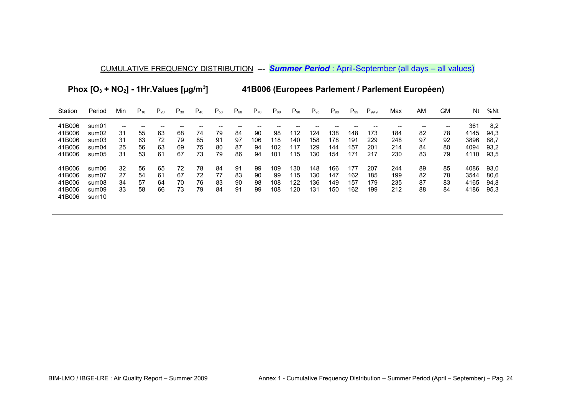**Phox [O3 + NO2] - 1Hr.Values [µg/m<sup>3</sup>**

**] 41B006 (Europees Parlement / Parlement Européen)**

| Station          | Period                     | Min | $P_{10}$ | $P_{20}$ | $P_{30}$ | $P_{40}$ | $P_{50}$ | $P_{60}$ | $P_{70}$ | $P_{80}$ | $\mathsf{P}_{90}$ | $P_{95}$ | $P_{98}$ | $P_{.99}$ | $P_{99.9}$ | Max | ΑM | GM | Nt   | %Nt  |
|------------------|----------------------------|-----|----------|----------|----------|----------|----------|----------|----------|----------|-------------------|----------|----------|-----------|------------|-----|----|----|------|------|
| 41B006           | sum01                      | --  |          |          |          |          |          |          |          |          |                   |          |          |           |            |     |    | -- | 361  | 8,2  |
| 41B006           | sum02                      | 31  | 55       | 63       | 68       | 74       | 79       | 84       | 90       | 98       | 112               | 124      | 138      | 148       | 173        | 184 | 82 | 78 | 4145 | 94,3 |
| 41B006           | sum03                      | 31  | 63       | 72       | 79       | 85       | 91       | 97       | 106      | 118      | 140               | 158      | 178      | 191       | 229        | 248 | 97 | 92 | 3896 | 88,7 |
| 41B006           | sum04                      | 25  | 56       | 63       | 69       | 75       | 80       | 87       | 94       | 102      | 117               | 129      | 144      | 157       | 201        | 214 | 84 | 80 | 4094 | 93,2 |
| 41B006           | sum05                      | 31  | 53       | 61       | 67       | 73       | 79       | 86       | 94       | 101      | 115               | 130      | 154      | 171       | 217        | 230 | 83 | 79 | 4110 | 93,5 |
| 41B006           | sum06                      | 32  | 56       | 65       | 72       | 78       | 84       | 91       | 99       | 109      | 130               | 148      | 166      | 177       | 207        | 244 | 89 | 85 | 4086 | 93,0 |
| 41B006           | sum07                      | 27  | 54       | 61       | 67       | 72       | 77       | 83       | -90      | 99       | 115               | 130      | 147      | 162       | 185        | 199 | 82 | 78 | 3544 | 80.6 |
| 41B006           | sum08                      | 34  | 57       | 64       | 70       | 76       | 83       | 90       | 98       | 108      | 122               | 136      | 149      | 157       | 179        | 235 | 87 | 83 | 4165 | 94,8 |
| 41B006<br>41B006 | sum09<br>sum <sub>10</sub> | 33  | 58       | 66       | 73       | 79       | 84       | 91       | 99       | 108      | 120               | 131      | 150      | 162       | 199        | 212 | 88 | 84 | 4186 | 95,3 |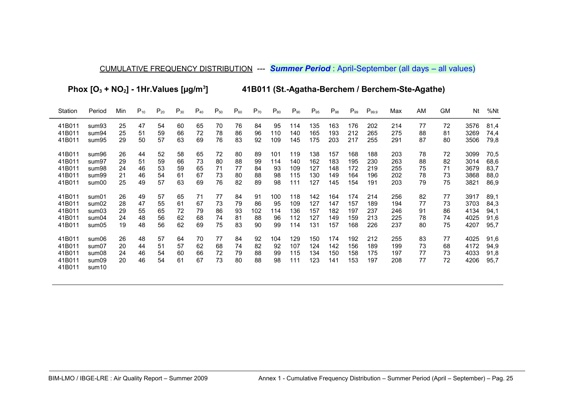Phox  $[O_3 + NO_2] - 1$ Hr.Values  $[µg/m^3]$ 

41B011 (St.-Agatha-Berchem / Berchem-Ste-Agathe)

| Station                                        | Period                                                | Min                  | $P_{10}$             | $P_{20}$             | $P_{30}$             | $P_{40}$             | $P_{50}$             | $P_{60}$             | $P_{70}$             | $P_{80}$              | $P_{90}$                 | $P_{95}$                 | $P_{98}$                 | $P_{99}$                 | $\mathsf{P}_{99.9}$      | Max                      | AM                   | GМ                   | Nt                           | %Nt                          |
|------------------------------------------------|-------------------------------------------------------|----------------------|----------------------|----------------------|----------------------|----------------------|----------------------|----------------------|----------------------|-----------------------|--------------------------|--------------------------|--------------------------|--------------------------|--------------------------|--------------------------|----------------------|----------------------|------------------------------|------------------------------|
| 41B011                                         | sum <sub>93</sub>                                     | 25                   | 47                   | 54                   | 60                   | 65                   | 70                   | 76                   | 84                   | 95                    | 114                      | 135                      | 163                      | 176                      | 202                      | 214                      | 77                   | 72                   | 3576                         | 81,4                         |
| 41B011                                         | sum94                                                 | 25                   | 51                   | 59                   | 66                   | 72                   | 78                   | 86                   | 96                   | 110                   | 140                      | 165                      | 193                      | 212                      | 265                      | 275                      | 88                   | 81                   | 3269                         | 74,4                         |
| 41B011                                         | sum95                                                 | 29                   | 50                   | 57                   | 63                   | 69                   | 76                   | 83                   | 92                   | 109                   | 145                      | 175                      | 203                      | 217                      | 255                      | 291                      | 87                   | 80                   | 3506                         | 79,8                         |
| 41B011                                         | sum96                                                 | 26                   | 44                   | 52                   | 58                   | 65                   | 72                   | 80                   | 89                   | 101                   | 119                      | 138                      | 157                      | 168                      | 188                      | 203                      | 78                   | 72                   | 3099                         | 70,5                         |
| 41B011                                         | sum97                                                 | 29                   | 51                   | 59                   | 66                   | 73                   | 80                   | 88                   | 99                   | 114                   | 140                      | 162                      | 183                      | 195                      | 230                      | 263                      | 88                   | 82                   | 3014                         | 68,6                         |
| 41B011                                         | sum98                                                 | 24                   | 46                   | 53                   | 59                   | 65                   | 71                   | 77                   | 84                   | 93                    | 109                      | 127                      | 148                      | 172                      | 219                      | 255                      | 75                   | 71                   | 3679                         | 83,7                         |
| 41B011                                         | sum <sub>99</sub>                                     | 21                   | 46                   | 54                   | 61                   | 67                   | 73                   | 80                   | 88                   | 98                    | 115                      | 130                      | 149                      | 164                      | 196                      | 202                      | 78                   | 73                   | 3868                         | 88,0                         |
| 41B011                                         | sum00                                                 | 25                   | 49                   | 57                   | 63                   | 69                   | 76                   | 82                   | 89                   | 98                    | 111                      | 127                      | 145                      | 154                      | 191                      | 203                      | 79                   | 75                   | 3821                         | 86,9                         |
| 41B011                                         | sum01                                                 | 26                   | 49                   | 57                   | 65                   | 71                   | 77                   | 84                   | 91                   | 100                   | 118                      | 142                      | 164                      | 174                      | 214                      | 256                      | 82                   | 77                   | 3917                         | 89,1                         |
| 41B011                                         | sum02                                                 | 28                   | 47                   | 55                   | 61                   | 67                   | 73                   | 79                   | 86                   | 95                    | 109                      | 127                      | 147                      | 157                      | 189                      | 194                      | 77                   | 73                   | 3703                         | 84,3                         |
| 41B011                                         | sum03                                                 | 29                   | 55                   | 65                   | 72                   | 79                   | 86                   | 93                   | 102                  | 114                   | 136                      | 157                      | 182                      | 197                      | 237                      | 246                      | 91                   | 86                   | 4134                         | 94,1                         |
| 41B011                                         | sum04                                                 | 24                   | 48                   | 56                   | 62                   | 68                   | 74                   | 81                   | 88                   | 96                    | 112                      | 127                      | 149                      | 159                      | 213                      | 225                      | 78                   | 74                   | 4025                         | 91,6                         |
| 41B011                                         | sum05                                                 | 19                   | 48                   | 56                   | 62                   | 69                   | 75                   | 83                   | 90                   | 99                    | 114                      | 131                      | 157                      | 168                      | 226                      | 237                      | 80                   | 75                   | 4207                         | 95,7                         |
| 41B011<br>41B011<br>41B011<br>41B011<br>41B011 | sum06<br>sum07<br>sum08<br>sum09<br>sum <sub>10</sub> | 26<br>20<br>24<br>20 | 48<br>44<br>46<br>46 | 57<br>51<br>54<br>54 | 64<br>57<br>60<br>61 | 70<br>62<br>66<br>67 | 77<br>68<br>72<br>73 | 84<br>74<br>79<br>80 | 92<br>82<br>88<br>88 | 104<br>92<br>99<br>98 | 129<br>107<br>115<br>111 | 150<br>124<br>134<br>123 | 174<br>142<br>150<br>141 | 192<br>156<br>158<br>153 | 212<br>189<br>175<br>197 | 255<br>199<br>197<br>208 | 83<br>73<br>77<br>77 | 77<br>68<br>73<br>72 | 4025<br>4172<br>4033<br>4206 | 91,6<br>94,9<br>91,8<br>95,7 |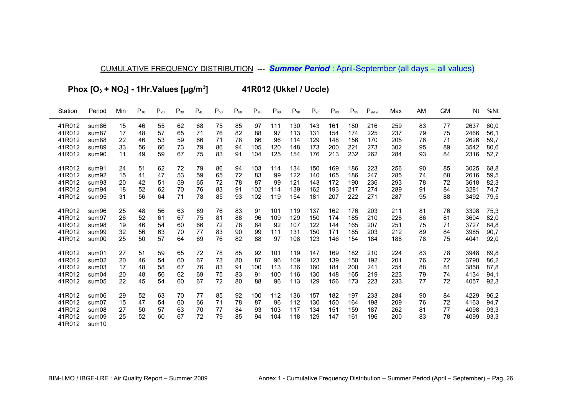Phox  $[O_3 + NO_2] - 1Hr.Values [µg/m<sup>3</sup>]$ 

41R012 (Ukkel / Uccle)

| Station                                        | Period                                                | Min                  | $P_{10}$             | $P_{20}$             | $P_{30}$             | $P_{40}$             | $P_{50}$             | $P_{60}$             | $P_{70}$              | $P_{80}$                | $P_{90}$                 | $P_{95}$                 | $P_{98}$                 | $P_{99}$                 | $P_{99.9}$               | Max                      | AM                   | <b>GM</b>            | Nt                           | %Nt                          |
|------------------------------------------------|-------------------------------------------------------|----------------------|----------------------|----------------------|----------------------|----------------------|----------------------|----------------------|-----------------------|-------------------------|--------------------------|--------------------------|--------------------------|--------------------------|--------------------------|--------------------------|----------------------|----------------------|------------------------------|------------------------------|
| 41R012                                         | sum86                                                 | 15                   | 46                   | 55                   | 62                   | 68                   | 75                   | 85                   | 97                    | 111                     | 130                      | 143                      | 161                      | 180                      | 216                      | 259                      | 83                   | 77                   | 2637                         | 60,0                         |
| 41R012                                         | sum87                                                 | 17                   | 48                   | 57                   | 65                   | 71                   | 76                   | 82                   | 88                    | 97                      | 113                      | 131                      | 154                      | 174                      | 225                      | 237                      | 79                   | 75                   | 2466                         | 56,1                         |
| 41R012                                         | sum88                                                 | 22                   | 46                   | 53                   | 59                   | 66                   | 71                   | 78                   | 86                    | 96                      | 114                      | 129                      | 148                      | 156                      | 170                      | 205                      | 76                   | 71                   | 2626                         | 59,7                         |
| 41R012                                         | sum89                                                 | 33                   | 56                   | 66                   | 73                   | 79                   | 86                   | 94                   | 105                   | 120                     | 148                      | 173                      | 200                      | 221                      | 273                      | 302                      | 95                   | 89                   | 3542                         | 80,6                         |
| 41R012                                         | sum90                                                 | 11                   | 49                   | 59                   | 67                   | 75                   | 83                   | 91                   | 104                   | 125                     | 154                      | 176                      | 213                      | 232                      | 262                      | 284                      | 93                   | 84                   | 2316                         | 52,7                         |
| 41R012                                         | sum91                                                 | 24                   | 51                   | 62                   | 72                   | 79                   | 86                   | 94                   | 103                   | 114                     | 134                      | 150                      | 169                      | 186                      | 223                      | 256                      | 90                   | 85                   | 3025                         | 68,8                         |
| 41R012                                         | sum92                                                 | 15                   | 41                   | 47                   | 53                   | 59                   | 65                   | 72                   | 83                    | 99                      | 122                      | 140                      | 165                      | 186                      | 247                      | 285                      | 74                   | 68                   | 2616                         | 59,5                         |
| 41R012                                         | sum93                                                 | 20                   | 42                   | 51                   | 59                   | 65                   | 72                   | 78                   | 87                    | 99                      | 121                      | 143                      | 172                      | 190                      | 236                      | 293                      | 78                   | 72                   | 3618                         | 82,3                         |
| 41R012                                         | sum94                                                 | 18                   | 52                   | 62                   | 70                   | 76                   | 83                   | 91                   | 102                   | 114                     | 139                      | 162                      | 193                      | 217                      | 274                      | 289                      | 91                   | 84                   | 3281                         | 74,7                         |
| 41R012                                         | sum95                                                 | 31                   | 56                   | 64                   | 71                   | 78                   | 85                   | 93                   | 102                   | 119                     | 154                      | 181                      | 207                      | 222                      | 271                      | 287                      | 95                   | 88                   | 3492                         | 79,5                         |
| 41R012                                         | sum96                                                 | 25                   | 48                   | 56                   | 63                   | 69                   | 76                   | 83                   | 91                    | 101                     | 119                      | 137                      | 162                      | 176                      | 203                      | 211                      | 81                   | 76                   | 3308                         | 75,3                         |
| 41R012                                         | sum97                                                 | 26                   | 52                   | 61                   | 67                   | 75                   | 81                   | 88                   | 96                    | 109                     | 129                      | 150                      | 174                      | 185                      | 210                      | 228                      | 86                   | 81                   | 3604                         | 82,0                         |
| 41R012                                         | sum98                                                 | 19                   | 46                   | 54                   | 60                   | 66                   | 72                   | 78                   | 84                    | 92                      | 107                      | 122                      | 144                      | 165                      | 207                      | 251                      | 75                   | 71                   | 3727                         | 84,8                         |
| 41R012                                         | sum99                                                 | 32                   | 56                   | 63                   | 70                   | 77                   | 83                   | 90                   | 99                    | 111                     | 131                      | 150                      | 171                      | 185                      | 203                      | 212                      | 89                   | 84                   | 3985                         | 90,7                         |
| 41R012                                         | sum00                                                 | 25                   | 50                   | 57                   | 64                   | 69                   | 76                   | 82                   | 88                    | 97                      | 108                      | 123                      | 146                      | 154                      | 184                      | 188                      | 78                   | 75                   | 4041                         | 92,0                         |
| 41R012                                         | sum01                                                 | 27                   | 51                   | 59                   | 65                   | 72                   | 78                   | 85                   | 92                    | 101                     | 119                      | 147                      | 169                      | 182                      | 210                      | 224                      | 83                   | 78                   | 3948                         | 89,8                         |
| 41R012                                         | sum02                                                 | 20                   | 46                   | 54                   | 60                   | 67                   | 73                   | 80                   | 87                    | 96                      | 109                      | 123                      | 139                      | 150                      | 192                      | 201                      | 76                   | 72                   | 3790                         | 86,2                         |
| 41R012                                         | sum03                                                 | 17                   | 48                   | 58                   | 67                   | 76                   | 83                   | 91                   | 100                   | 113                     | 136                      | 160                      | 184                      | 200                      | 241                      | 254                      | 88                   | 81                   | 3858                         | 87,8                         |
| 41R012                                         | sum04                                                 | 20                   | 48                   | 56                   | 62                   | 69                   | 75                   | 83                   | 91                    | 100                     | 116                      | 130                      | 148                      | 165                      | 219                      | 223                      | 79                   | 74                   | 4134                         | 94,1                         |
| 41R012                                         | sum05                                                 | 22                   | 45                   | 54                   | 60                   | 67                   | 72                   | 80                   | 88                    | 96                      | 113                      | 129                      | 156                      | 173                      | 223                      | 233                      | 77                   | 72                   | 4057                         | 92,3                         |
| 41R012<br>41R012<br>41R012<br>41R012<br>41R012 | sum06<br>sum07<br>sum08<br>sum09<br>sum <sub>10</sub> | 29<br>15<br>27<br>25 | 52<br>47<br>50<br>52 | 63<br>54<br>57<br>60 | 70<br>60<br>63<br>67 | 77<br>66<br>70<br>72 | 85<br>71<br>77<br>79 | 92<br>78<br>84<br>85 | 100<br>87<br>93<br>94 | 112<br>96<br>103<br>104 | 136<br>112<br>117<br>118 | 157<br>130<br>134<br>129 | 182<br>150<br>151<br>147 | 197<br>164<br>159<br>161 | 233<br>198<br>187<br>196 | 284<br>209<br>262<br>200 | 90<br>76<br>81<br>83 | 84<br>72<br>77<br>78 | 4229<br>4163<br>4098<br>4099 | 96,2<br>94,7<br>93,3<br>93,3 |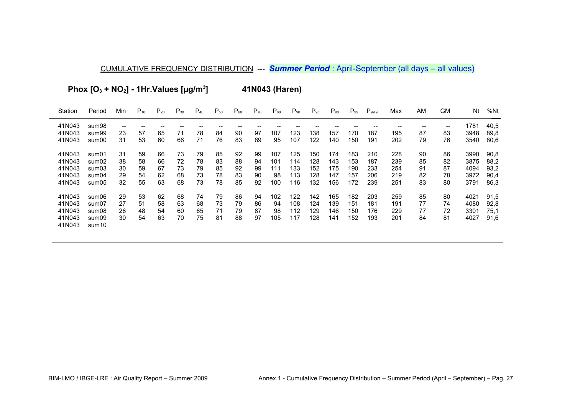Phox  $[O_3 + NO_2] - 1$ Hr.Values  $[µq/m^3]$ 41N043 (Haren)

 $\mathsf{P}_{30}$  $P_{20}$  $\mathsf{P}_{90}$  $\mathsf{P}_{\textrm{98}}$ Station Period Min  $P_{10}$  $P_{40}$  $P_{50}$  $P_{60}$  $P_{70}$  $P_{80}$  $P_{95}$  $P_{99}$   $P_{99.9}$ AM **GM** Nt %Nt Max 41N043 40,5 sum98  $\sim$  $\sim$  $\overline{\phantom{a}}$  $\overline{a}$  $\overline{\phantom{a}}$  $\overline{\phantom{a}}$  $\overline{\phantom{a}}$  $\overline{\phantom{a}}$  $\sim$  $\overline{\phantom{a}}$  $\overline{\phantom{a}}$  $\overline{a}$  $\overline{\phantom{a}}$  $\overline{\phantom{a}}$  $\sim$  $\overline{\phantom{a}}$  $\sim$ 41N043 sum99 89.8 41N043 sum00 80,6 41N043 sum01 90,8 41N043 sum02 88.2 41N043 sum03 93.2 41N043 90.4 sum04 41N043  $sum05$ 86,3 41N043 sum06 91,5 41N043 sum07 92,8 41N043  $75,1$ sum08 41N043  $sum09$ 91,6 41N043 sum10